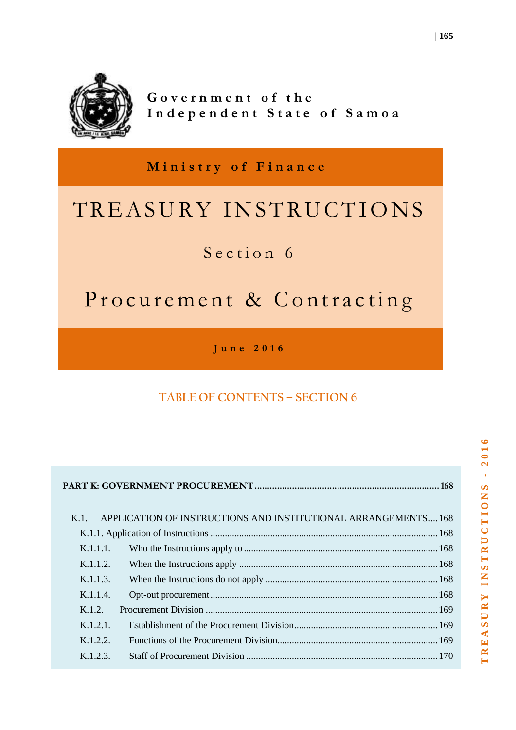

Government of the Independent State of Samoa

**M i n i s t r y o f F i n a n c e**

# TREASURY INSTRUCTIONS

## Section 6

## Procurement & Contracting

**J u n e 2 0 1 6**

## **TABLE OF CONTENTS – SECTION 6**

| K 1         | APPLICATION OF INSTRUCTIONS AND INSTITUTIONAL ARRANGEMENTS168 |  |
|-------------|---------------------------------------------------------------|--|
|             |                                                               |  |
| K.1.1.1.    |                                                               |  |
| K.1.1.2.    |                                                               |  |
| K.1.1.3.    |                                                               |  |
| K.1.1.4.    |                                                               |  |
| K.1.2.      |                                                               |  |
| $K.1.2.1$ . |                                                               |  |
| K.1.2.2.    |                                                               |  |
| K.1.2.3.    |                                                               |  |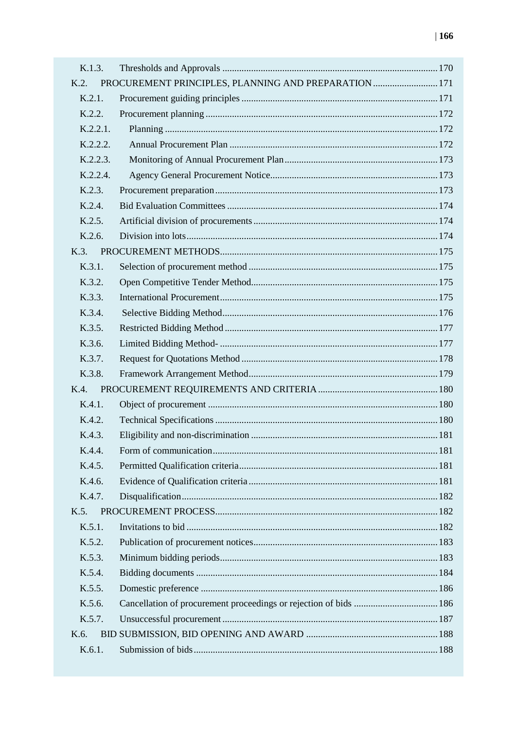| K.1.3.   |                                                       |  |
|----------|-------------------------------------------------------|--|
| K.2.     | PROCUREMENT PRINCIPLES, PLANNING AND PREPARATION  171 |  |
| K.2.1.   |                                                       |  |
| K.2.2.   |                                                       |  |
| K.2.2.1. |                                                       |  |
| K.2.2.2. |                                                       |  |
| K.2.2.3. |                                                       |  |
| K.2.2.4. |                                                       |  |
| K.2.3.   |                                                       |  |
| K.2.4.   |                                                       |  |
| K.2.5.   |                                                       |  |
| K.2.6.   |                                                       |  |
| K.3.     |                                                       |  |
| K.3.1.   |                                                       |  |
| K.3.2.   |                                                       |  |
| K.3.3.   |                                                       |  |
| K.3.4.   |                                                       |  |
| K.3.5.   |                                                       |  |
| K.3.6.   |                                                       |  |
| K.3.7.   |                                                       |  |
| K.3.8.   |                                                       |  |
| K.4.     |                                                       |  |
| K.4.1.   |                                                       |  |
| K.4.2.   |                                                       |  |
| K.4.3.   |                                                       |  |
| K.4.4.   |                                                       |  |
| K.4.5.   |                                                       |  |
| K.4.6.   |                                                       |  |
| K.4.7.   |                                                       |  |
| $K.5$ .  |                                                       |  |
| K.5.1.   |                                                       |  |
| K.5.2.   |                                                       |  |
| K.5.3.   |                                                       |  |
| K.5.4.   |                                                       |  |
| K.5.5.   |                                                       |  |
| K.5.6.   |                                                       |  |
| K.5.7.   |                                                       |  |
| K.6.     |                                                       |  |
| K.6.1.   |                                                       |  |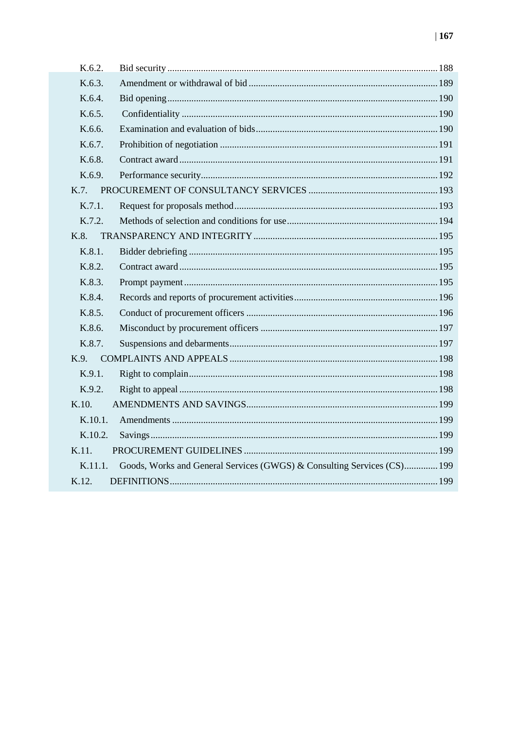| K.6.2.  |                                                                         |  |
|---------|-------------------------------------------------------------------------|--|
| K.6.3.  |                                                                         |  |
| K.6.4.  |                                                                         |  |
| K.6.5.  |                                                                         |  |
| K.6.6.  |                                                                         |  |
| K.6.7.  |                                                                         |  |
| K.6.8.  |                                                                         |  |
| K.6.9.  |                                                                         |  |
| K.7.    |                                                                         |  |
| K.7.1.  |                                                                         |  |
| K.7.2.  |                                                                         |  |
| K.8.    |                                                                         |  |
| K.8.1.  |                                                                         |  |
| K.8.2.  |                                                                         |  |
| K.8.3.  |                                                                         |  |
| K.8.4   |                                                                         |  |
| K.8.5.  |                                                                         |  |
| K.8.6.  |                                                                         |  |
| K.8.7.  |                                                                         |  |
| K.9.    |                                                                         |  |
| K.9.1.  |                                                                         |  |
| K.9.2.  |                                                                         |  |
| K.10.   |                                                                         |  |
| K.10.1. |                                                                         |  |
| K.10.2. |                                                                         |  |
| K.11.   |                                                                         |  |
| K.11.1. | Goods, Works and General Services (GWGS) & Consulting Services (CS) 199 |  |
| K.12.   |                                                                         |  |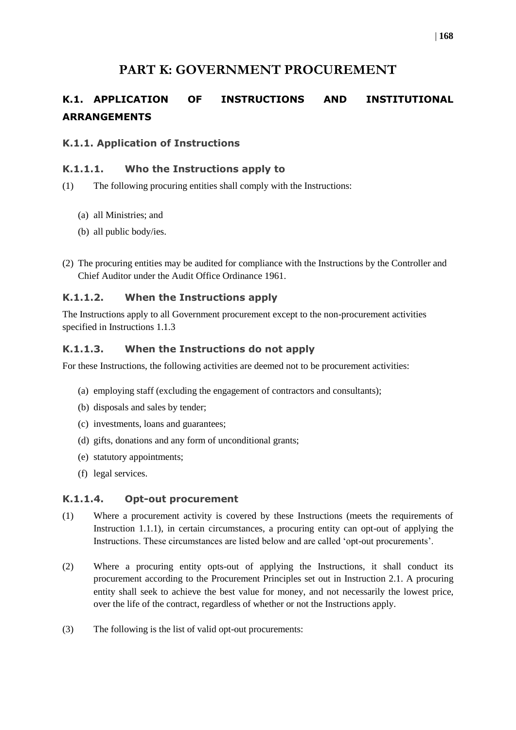### **PART K: GOVERNMENT PROCUREMENT**

## <span id="page-3-1"></span><span id="page-3-0"></span>**K.1. APPLICATION OF INSTRUCTIONS AND INSTITUTIONAL ARRANGEMENTS**

#### <span id="page-3-2"></span>**K.1.1. Application of Instructions**

#### <span id="page-3-3"></span>**K.1.1.1. Who the Instructions apply to**

- (1) The following procuring entities shall comply with the Instructions:
	- (a) all Ministries; and
	- (b) all public body/ies.
- (2) The procuring entities may be audited for compliance with the Instructions by the Controller and Chief Auditor under the Audit Office Ordinance 1961.

#### <span id="page-3-4"></span>**K.1.1.2. When the Instructions apply**

The Instructions apply to all Government procurement except to the non-procurement activities specified in Instructions 1.1.3

#### <span id="page-3-5"></span>**K.1.1.3. When the Instructions do not apply**

For these Instructions, the following activities are deemed not to be procurement activities:

- (a) employing staff (excluding the engagement of contractors and consultants);
- (b) disposals and sales by tender;
- (c) investments, loans and guarantees;
- (d) gifts, donations and any form of unconditional grants;
- (e) statutory appointments;
- (f) legal services.

#### <span id="page-3-6"></span>**K.1.1.4. Opt-out procurement**

- (1) Where a procurement activity is covered by these Instructions (meets the requirements of Instruction 1.1.1), in certain circumstances, a procuring entity can opt-out of applying the Instructions. These circumstances are listed below and are called 'opt-out procurements'.
- (2) Where a procuring entity opts-out of applying the Instructions, it shall conduct its procurement according to the Procurement Principles set out in Instruction 2.1. A procuring entity shall seek to achieve the best value for money, and not necessarily the lowest price, over the life of the contract, regardless of whether or not the Instructions apply.
- (3) The following is the list of valid opt-out procurements: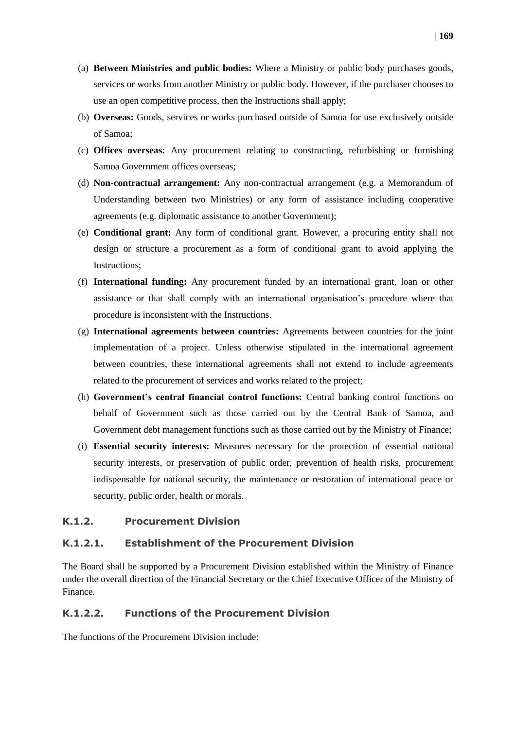- (a) **Between Ministries and public bodies:** Where a Ministry or public body purchases goods, services or works from another Ministry or public body. However, if the purchaser chooses to use an open competitive process, then the Instructions shall apply;
- (b) **Overseas:** Goods, services or works purchased outside of Samoa for use exclusively outside of Samoa;
- (c) **Offices overseas:** Any procurement relating to constructing, refurbishing or furnishing Samoa Government offices overseas;
- (d) **Non-contractual arrangement:** Any non-contractual arrangement (e.g. a Memorandum of Understanding between two Ministries) or any form of assistance including cooperative agreements (e.g. diplomatic assistance to another Government);
- (e) **Conditional grant:** Any form of conditional grant. However, a procuring entity shall not design or structure a procurement as a form of conditional grant to avoid applying the Instructions;
- (f) **International funding:** Any procurement funded by an international grant, loan or other assistance or that shall comply with an international organisation's procedure where that procedure is inconsistent with the Instructions.
- (g) **International agreements between countries:** Agreements between countries for the joint implementation of a project. Unless otherwise stipulated in the international agreement between countries, these international agreements shall not extend to include agreements related to the procurement of services and works related to the project;
- (h) **Government's central financial control functions:** Central banking control functions on behalf of Government such as those carried out by the Central Bank of Samoa, and Government debt management functions such as those carried out by the Ministry of Finance;
- (i) **Essential security interests:** Measures necessary for the protection of essential national security interests, or preservation of public order, prevention of health risks, procurement indispensable for national security, the maintenance or restoration of international peace or security, public order, health or morals.

#### <span id="page-4-0"></span>**K.1.2. Procurement Division**

#### <span id="page-4-1"></span>**K.1.2.1. Establishment of the Procurement Division**

The Board shall be supported by a Procurement Division established within the Ministry of Finance under the overall direction of the Financial Secretary or the Chief Executive Officer of the Ministry of Finance.

#### <span id="page-4-2"></span>**K.1.2.2. Functions of the Procurement Division**

The functions of the Procurement Division include: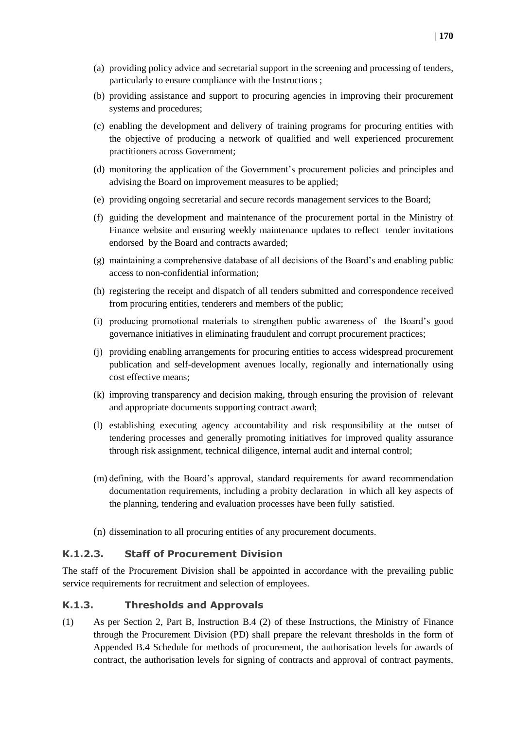- (a) providing policy advice and secretarial support in the screening and processing of tenders, particularly to ensure compliance with the Instructions ;
- (b) providing assistance and support to procuring agencies in improving their procurement systems and procedures;
- (c) enabling the development and delivery of training programs for procuring entities with the objective of producing a network of qualified and well experienced procurement practitioners across Government;
- (d) monitoring the application of the Government's procurement policies and principles and advising the Board on improvement measures to be applied;
- (e) providing ongoing secretarial and secure records management services to the Board;
- (f) guiding the development and maintenance of the procurement portal in the Ministry of Finance website and ensuring weekly maintenance updates to reflect tender invitations endorsed by the Board and contracts awarded;
- (g) maintaining a comprehensive database of all decisions of the Board's and enabling public access to non-confidential information;
- (h) registering the receipt and dispatch of all tenders submitted and correspondence received from procuring entities, tenderers and members of the public;
- (i) producing promotional materials to strengthen public awareness of the Board's good governance initiatives in eliminating fraudulent and corrupt procurement practices;
- (j) providing enabling arrangements for procuring entities to access widespread procurement publication and self-development avenues locally, regionally and internationally using cost effective means;
- (k) improving transparency and decision making, through ensuring the provision of relevant and appropriate documents supporting contract award;
- (l) establishing executing agency accountability and risk responsibility at the outset of tendering processes and generally promoting initiatives for improved quality assurance through risk assignment, technical diligence, internal audit and internal control;
- (m) defining, with the Board's approval, standard requirements for award recommendation documentation requirements, including a probity declaration in which all key aspects of the planning, tendering and evaluation processes have been fully satisfied.
- (n) dissemination to all procuring entities of any procurement documents.

#### <span id="page-5-0"></span>**K.1.2.3. Staff of Procurement Division**

The staff of the Procurement Division shall be appointed in accordance with the prevailing public service requirements for recruitment and selection of employees.

#### <span id="page-5-1"></span>**K.1.3. Thresholds and Approvals**

(1) As per Section 2, Part B, Instruction B.4 (2) of these Instructions, the Ministry of Finance through the Procurement Division (PD) shall prepare the relevant thresholds in the form of Appended B.4 Schedule for methods of procurement, the authorisation levels for awards of contract, the authorisation levels for signing of contracts and approval of contract payments,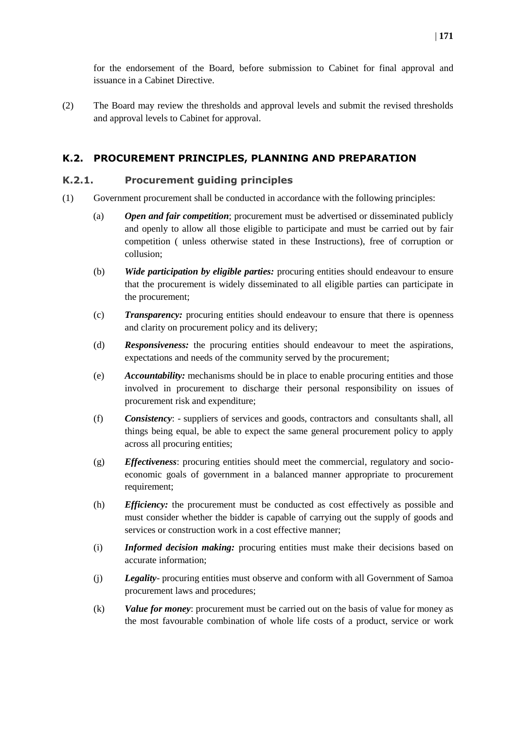for the endorsement of the Board, before submission to Cabinet for final approval and issuance in a Cabinet Directive.

(2) The Board may review the thresholds and approval levels and submit the revised thresholds and approval levels to Cabinet for approval.

#### <span id="page-6-0"></span>**K.2. PROCUREMENT PRINCIPLES, PLANNING AND PREPARATION**

#### <span id="page-6-1"></span>**K.2.1. Procurement guiding principles**

- (1) Government procurement shall be conducted in accordance with the following principles:
	- (a) *Open and fair competition*; procurement must be advertised or disseminated publicly and openly to allow all those eligible to participate and must be carried out by fair competition ( unless otherwise stated in these Instructions), free of corruption or collusion;
	- (b) *Wide participation by eligible parties:* procuring entities should endeavour to ensure that the procurement is widely disseminated to all eligible parties can participate in the procurement;
	- (c) *Transparency:* procuring entities should endeavour to ensure that there is openness and clarity on procurement policy and its delivery;
	- (d) *Responsiveness:* the procuring entities should endeavour to meet the aspirations, expectations and needs of the community served by the procurement;
	- (e) *Accountability:* mechanisms should be in place to enable procuring entities and those involved in procurement to discharge their personal responsibility on issues of procurement risk and expenditure;
	- (f) *Consistency*: suppliers of services and goods, contractors and consultants shall, all things being equal, be able to expect the same general procurement policy to apply across all procuring entities;
	- (g) *Effectiveness*: procuring entities should meet the commercial, regulatory and socioeconomic goals of government in a balanced manner appropriate to procurement requirement;
	- (h) *Efficiency:* the procurement must be conducted as cost effectively as possible and must consider whether the bidder is capable of carrying out the supply of goods and services or construction work in a cost effective manner;
	- (i) *Informed decision making:* procuring entities must make their decisions based on accurate information;
	- (j) *Legality* procuring entities must observe and conform with all Government of Samoa procurement laws and procedures;
	- (k) *Value for money*: procurement must be carried out on the basis of value for money as the most favourable combination of whole life costs of a product, service or work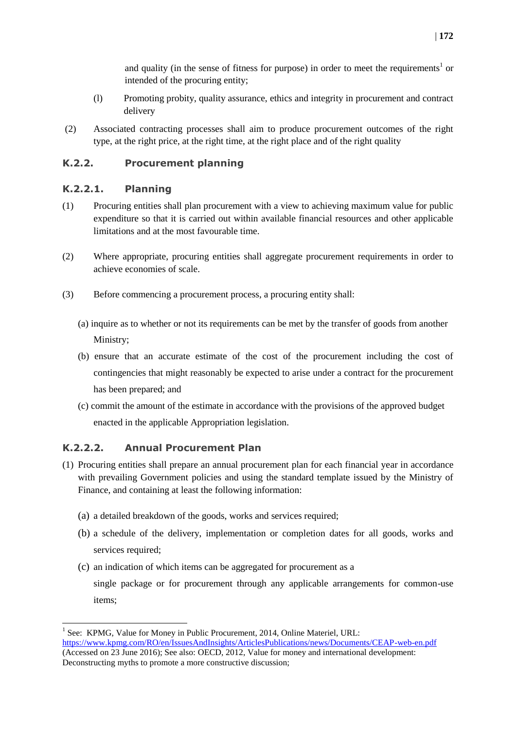and quality (in the sense of fitness for purpose) in order to meet the requirements<sup>1</sup> or intended of the procuring entity;

- (l) Promoting probity, quality assurance, ethics and integrity in procurement and contract delivery
- (2) Associated contracting processes shall aim to produce procurement outcomes of the right type, at the right price, at the right time, at the right place and of the right quality

#### <span id="page-7-0"></span>**K.2.2. Procurement planning**

#### <span id="page-7-1"></span>**K.2.2.1. Planning**

- (1) Procuring entities shall plan procurement with a view to achieving maximum value for public expenditure so that it is carried out within available financial resources and other applicable limitations and at the most favourable time.
- (2) Where appropriate, procuring entities shall aggregate procurement requirements in order to achieve economies of scale.
- (3) Before commencing a procurement process, a procuring entity shall:
	- (a) inquire as to whether or not its requirements can be met by the transfer of goods from another Ministry;
	- (b) ensure that an accurate estimate of the cost of the procurement including the cost of contingencies that might reasonably be expected to arise under a contract for the procurement has been prepared; and
	- (c) commit the amount of the estimate in accordance with the provisions of the approved budget enacted in the applicable Appropriation legislation.

#### <span id="page-7-2"></span>**K.2.2.2. Annual Procurement Plan**

- (1) Procuring entities shall prepare an annual procurement plan for each financial year in accordance with prevailing Government policies and using the standard template issued by the Ministry of Finance, and containing at least the following information:
	- (a) a detailed breakdown of the goods, works and services required;
	- (b) a schedule of the delivery, implementation or completion dates for all goods, works and services required;
	- (c) an indication of which items can be aggregated for procurement as a single package or for procurement through any applicable arrangements for common-use items;

1

<sup>&</sup>lt;sup>1</sup> See: KPMG, Value for Money in Public Procurement, 2014, Online Materiel, URL: <https://www.kpmg.com/RO/en/IssuesAndInsights/ArticlesPublications/news/Documents/CEAP-web-en.pdf> (Accessed on 23 June 2016); See also: OECD, 2012, Value for money and international development:

Deconstructing myths to promote a more constructive discussion;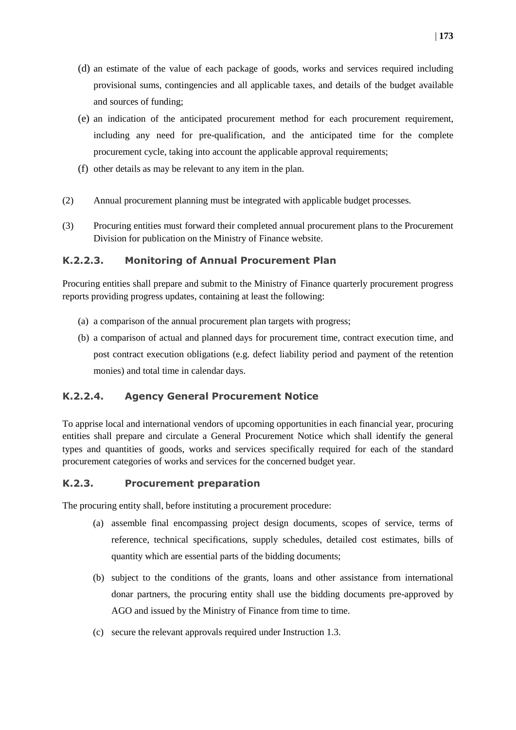- (d) an estimate of the value of each package of goods, works and services required including provisional sums, contingencies and all applicable taxes, and details of the budget available and sources of funding;
- (e) an indication of the anticipated procurement method for each procurement requirement, including any need for pre-qualification, and the anticipated time for the complete procurement cycle, taking into account the applicable approval requirements;
- (f) other details as may be relevant to any item in the plan.
- (2) Annual procurement planning must be integrated with applicable budget processes.
- (3) Procuring entities must forward their completed annual procurement plans to the Procurement Division for publication on the Ministry of Finance website.

#### <span id="page-8-0"></span>**K.2.2.3. Monitoring of Annual Procurement Plan**

Procuring entities shall prepare and submit to the Ministry of Finance quarterly procurement progress reports providing progress updates, containing at least the following:

- (a) a comparison of the annual procurement plan targets with progress;
- (b) a comparison of actual and planned days for procurement time, contract execution time, and post contract execution obligations (e.g. defect liability period and payment of the retention monies) and total time in calendar days.

#### <span id="page-8-1"></span>**K.2.2.4. Agency General Procurement Notice**

To apprise local and international vendors of upcoming opportunities in each financial year, procuring entities shall prepare and circulate a General Procurement Notice which shall identify the general types and quantities of goods, works and services specifically required for each of the standard procurement categories of works and services for the concerned budget year.

#### <span id="page-8-2"></span>**K.2.3. Procurement preparation**

The procuring entity shall, before instituting a procurement procedure:

- (a) assemble final encompassing project design documents, scopes of service, terms of reference, technical specifications, supply schedules, detailed cost estimates, bills of quantity which are essential parts of the bidding documents;
- (b) subject to the conditions of the grants, loans and other assistance from international donar partners, the procuring entity shall use the bidding documents pre-approved by AGO and issued by the Ministry of Finance from time to time.
- (c) secure the relevant approvals required under Instruction 1.3.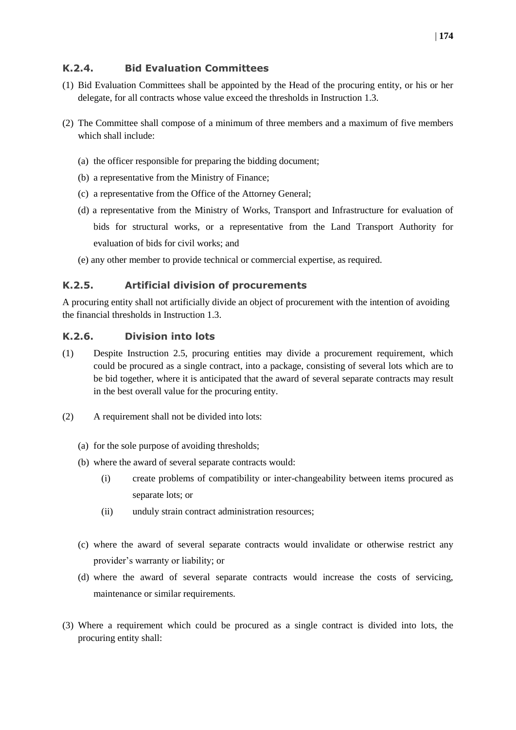#### <span id="page-9-0"></span>**K.2.4. Bid Evaluation Committees**

- (1) Bid Evaluation Committees shall be appointed by the Head of the procuring entity, or his or her delegate, for all contracts whose value exceed the thresholds in Instruction 1.3.
- (2) The Committee shall compose of a minimum of three members and a maximum of five members which shall include:
	- (a) the officer responsible for preparing the bidding document;
	- (b) a representative from the Ministry of Finance;
	- (c) a representative from the Office of the Attorney General;
	- (d) a representative from the Ministry of Works, Transport and Infrastructure for evaluation of bids for structural works, or a representative from the Land Transport Authority for evaluation of bids for civil works; and
	- (e) any other member to provide technical or commercial expertise, as required.

#### <span id="page-9-1"></span>**K.2.5. Artificial division of procurements**

A procuring entity shall not artificially divide an object of procurement with the intention of avoiding the financial thresholds in Instruction 1.3.

#### <span id="page-9-2"></span>**K.2.6. Division into lots**

- (1) Despite Instruction 2.5, procuring entities may divide a procurement requirement, which could be procured as a single contract, into a package, consisting of several lots which are to be bid together, where it is anticipated that the award of several separate contracts may result in the best overall value for the procuring entity.
- (2) A requirement shall not be divided into lots:
	- (a) for the sole purpose of avoiding thresholds;
	- (b) where the award of several separate contracts would:
		- (i) create problems of compatibility or inter-changeability between items procured as separate lots; or
		- (ii) unduly strain contract administration resources;
	- (c) where the award of several separate contracts would invalidate or otherwise restrict any provider's warranty or liability; or
	- (d) where the award of several separate contracts would increase the costs of servicing, maintenance or similar requirements.
- (3) Where a requirement which could be procured as a single contract is divided into lots, the procuring entity shall: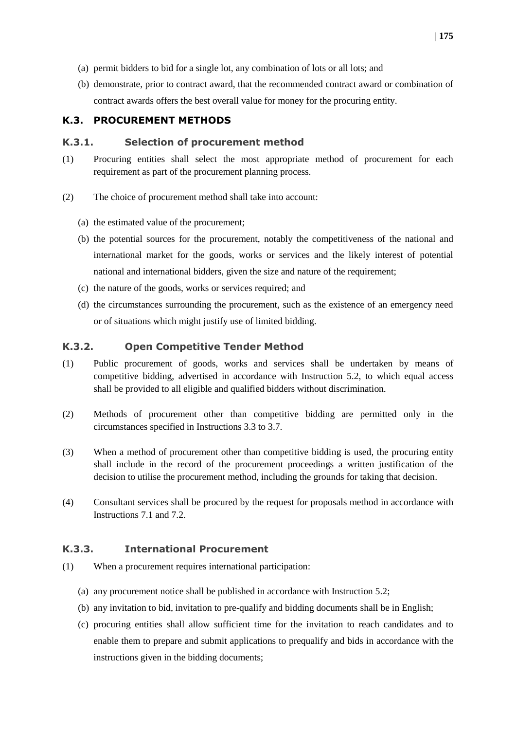- (a) permit bidders to bid for a single lot, any combination of lots or all lots; and
- (b) demonstrate, prior to contract award, that the recommended contract award or combination of contract awards offers the best overall value for money for the procuring entity.

#### <span id="page-10-0"></span>**K.3. PROCUREMENT METHODS**

#### <span id="page-10-1"></span>**K.3.1. Selection of procurement method**

- (1) Procuring entities shall select the most appropriate method of procurement for each requirement as part of the procurement planning process.
- (2) The choice of procurement method shall take into account:
	- (a) the estimated value of the procurement;
	- (b) the potential sources for the procurement, notably the competitiveness of the national and international market for the goods, works or services and the likely interest of potential national and international bidders, given the size and nature of the requirement;
	- (c) the nature of the goods, works or services required; and
	- (d) the circumstances surrounding the procurement, such as the existence of an emergency need or of situations which might justify use of limited bidding.

#### <span id="page-10-2"></span>**K.3.2. Open Competitive Tender Method**

- (1) Public procurement of goods, works and services shall be undertaken by means of competitive bidding, advertised in accordance with Instruction 5.2, to which equal access shall be provided to all eligible and qualified bidders without discrimination.
- (2) Methods of procurement other than competitive bidding are permitted only in the circumstances specified in Instructions 3.3 to 3.7.
- (3) When a method of procurement other than competitive bidding is used, the procuring entity shall include in the record of the procurement proceedings a written justification of the decision to utilise the procurement method, including the grounds for taking that decision.
- (4) Consultant services shall be procured by the request for proposals method in accordance with Instructions 7.1 and 7.2.

#### <span id="page-10-3"></span>**K.3.3. International Procurement**

- (1) When a procurement requires international participation:
	- (a) any procurement notice shall be published in accordance with Instruction 5.2;
	- (b) any invitation to bid, invitation to pre-qualify and bidding documents shall be in English;
	- (c) procuring entities shall allow sufficient time for the invitation to reach candidates and to enable them to prepare and submit applications to prequalify and bids in accordance with the instructions given in the bidding documents;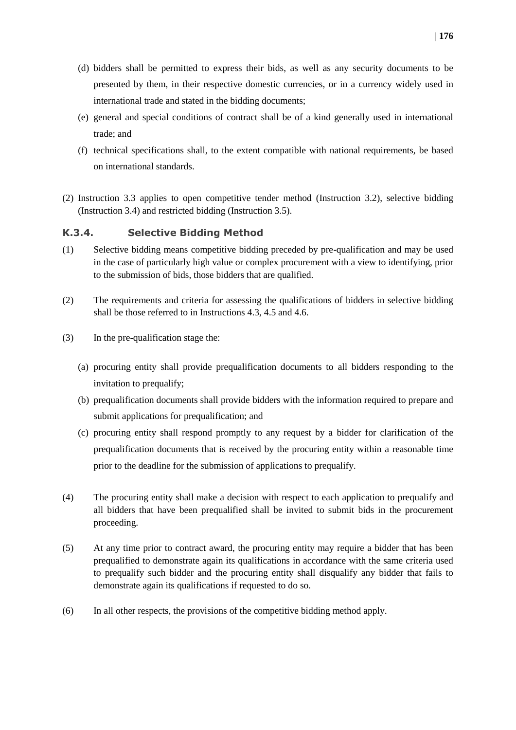- (d) bidders shall be permitted to express their bids, as well as any security documents to be presented by them, in their respective domestic currencies, or in a currency widely used in international trade and stated in the bidding documents;
- (e) general and special conditions of contract shall be of a kind generally used in international trade; and
- (f) technical specifications shall, to the extent compatible with national requirements, be based on international standards.
- (2) Instruction 3.3 applies to open competitive tender method (Instruction 3.2), selective bidding (Instruction 3.4) and restricted bidding (Instruction 3.5).

#### <span id="page-11-0"></span>**K.3.4. Selective Bidding Method**

- (1) Selective bidding means competitive bidding preceded by pre-qualification and may be used in the case of particularly high value or complex procurement with a view to identifying, prior to the submission of bids, those bidders that are qualified.
- (2) The requirements and criteria for assessing the qualifications of bidders in selective bidding shall be those referred to in Instructions 4.3, 4.5 and 4.6.
- (3) In the pre-qualification stage the:
	- (a) procuring entity shall provide prequalification documents to all bidders responding to the invitation to prequalify;
	- (b) prequalification documents shall provide bidders with the information required to prepare and submit applications for prequalification; and
	- (c) procuring entity shall respond promptly to any request by a bidder for clarification of the prequalification documents that is received by the procuring entity within a reasonable time prior to the deadline for the submission of applications to prequalify.
- (4) The procuring entity shall make a decision with respect to each application to prequalify and all bidders that have been prequalified shall be invited to submit bids in the procurement proceeding.
- (5) At any time prior to contract award, the procuring entity may require a bidder that has been prequalified to demonstrate again its qualifications in accordance with the same criteria used to prequalify such bidder and the procuring entity shall disqualify any bidder that fails to demonstrate again its qualifications if requested to do so.
- (6) In all other respects, the provisions of the competitive bidding method apply.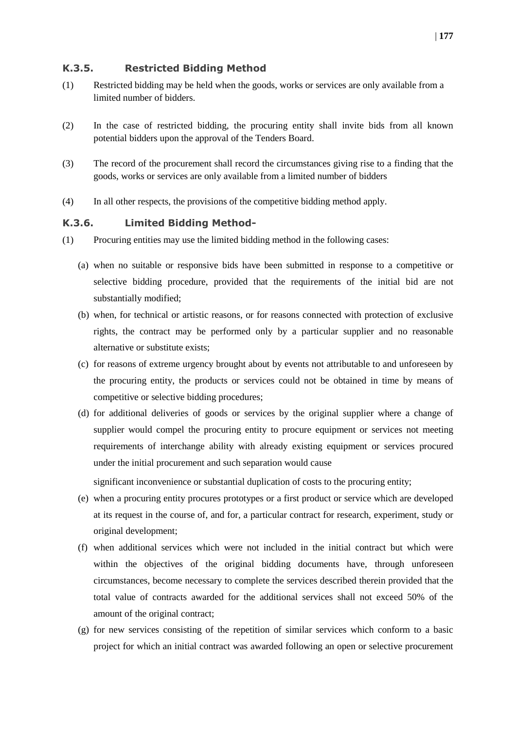#### <span id="page-12-0"></span>**K.3.5. Restricted Bidding Method**

- (1) Restricted bidding may be held when the goods, works or services are only available from a limited number of bidders.
- (2) In the case of restricted bidding, the procuring entity shall invite bids from all known potential bidders upon the approval of the Tenders Board.
- (3) The record of the procurement shall record the circumstances giving rise to a finding that the goods, works or services are only available from a limited number of bidders
- (4) In all other respects, the provisions of the competitive bidding method apply.

#### <span id="page-12-1"></span>**K.3.6. Limited Bidding Method-**

- (1) Procuring entities may use the limited bidding method in the following cases:
	- (a) when no suitable or responsive bids have been submitted in response to a competitive or selective bidding procedure, provided that the requirements of the initial bid are not substantially modified;
	- (b) when, for technical or artistic reasons, or for reasons connected with protection of exclusive rights, the contract may be performed only by a particular supplier and no reasonable alternative or substitute exists;
	- (c) for reasons of extreme urgency brought about by events not attributable to and unforeseen by the procuring entity, the products or services could not be obtained in time by means of competitive or selective bidding procedures;
	- (d) for additional deliveries of goods or services by the original supplier where a change of supplier would compel the procuring entity to procure equipment or services not meeting requirements of interchange ability with already existing equipment or services procured under the initial procurement and such separation would cause

significant inconvenience or substantial duplication of costs to the procuring entity;

- (e) when a procuring entity procures prototypes or a first product or service which are developed at its request in the course of, and for, a particular contract for research, experiment, study or original development;
- (f) when additional services which were not included in the initial contract but which were within the objectives of the original bidding documents have, through unforeseen circumstances, become necessary to complete the services described therein provided that the total value of contracts awarded for the additional services shall not exceed 50% of the amount of the original contract;
- (g) for new services consisting of the repetition of similar services which conform to a basic project for which an initial contract was awarded following an open or selective procurement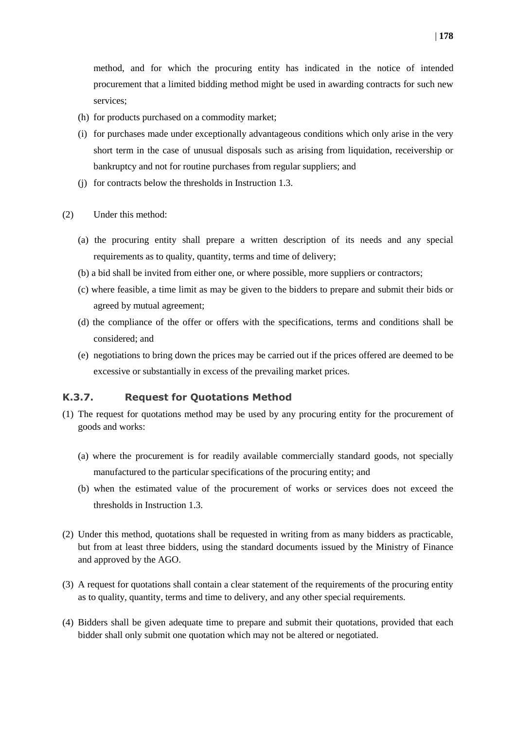method, and for which the procuring entity has indicated in the notice of intended procurement that a limited bidding method might be used in awarding contracts for such new services;

- (h) for products purchased on a commodity market;
- (i) for purchases made under exceptionally advantageous conditions which only arise in the very short term in the case of unusual disposals such as arising from liquidation, receivership or bankruptcy and not for routine purchases from regular suppliers; and
- (j) for contracts below the thresholds in Instruction 1.3.
- (2) Under this method:
	- (a) the procuring entity shall prepare a written description of its needs and any special requirements as to quality, quantity, terms and time of delivery;
	- (b) a bid shall be invited from either one, or where possible, more suppliers or contractors;
	- (c) where feasible, a time limit as may be given to the bidders to prepare and submit their bids or agreed by mutual agreement;
	- (d) the compliance of the offer or offers with the specifications, terms and conditions shall be considered; and
	- (e) negotiations to bring down the prices may be carried out if the prices offered are deemed to be excessive or substantially in excess of the prevailing market prices.

#### <span id="page-13-0"></span>**K.3.7. Request for Quotations Method**

- (1) The request for quotations method may be used by any procuring entity for the procurement of goods and works:
	- (a) where the procurement is for readily available commercially standard goods, not specially manufactured to the particular specifications of the procuring entity; and
	- (b) when the estimated value of the procurement of works or services does not exceed the thresholds in Instruction 1.3.
- (2) Under this method, quotations shall be requested in writing from as many bidders as practicable, but from at least three bidders, using the standard documents issued by the Ministry of Finance and approved by the AGO.
- (3) A request for quotations shall contain a clear statement of the requirements of the procuring entity as to quality, quantity, terms and time to delivery, and any other special requirements.
- (4) Bidders shall be given adequate time to prepare and submit their quotations, provided that each bidder shall only submit one quotation which may not be altered or negotiated.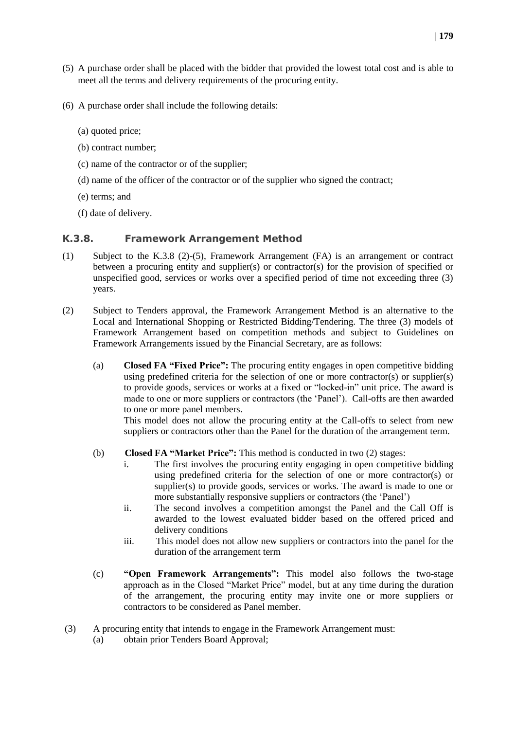- (5) A purchase order shall be placed with the bidder that provided the lowest total cost and is able to meet all the terms and delivery requirements of the procuring entity.
- (6) A purchase order shall include the following details:
	- (a) quoted price;
	- (b) contract number;
	- (c) name of the contractor or of the supplier;
	- (d) name of the officer of the contractor or of the supplier who signed the contract;
	- (e) terms; and
	- (f) date of delivery.

#### <span id="page-14-0"></span>**K.3.8. Framework Arrangement Method**

- (1) Subject to the K.3.8 (2)-(5), Framework Arrangement (FA) is an arrangement or contract between a procuring entity and supplier(s) or contractor(s) for the provision of specified or unspecified good, services or works over a specified period of time not exceeding three (3) years.
- (2) Subject to Tenders approval, the Framework Arrangement Method is an alternative to the Local and International Shopping or Restricted Bidding/Tendering. The three (3) models of Framework Arrangement based on competition methods and subject to Guidelines on Framework Arrangements issued by the Financial Secretary, are as follows:
	- (a) **Closed FA "Fixed Price":** The procuring entity engages in open competitive bidding using predefined criteria for the selection of one or more contractor(s) or supplier(s) to provide goods, services or works at a fixed or "locked-in" unit price. The award is made to one or more suppliers or contractors (the 'Panel'). Call-offs are then awarded to one or more panel members.

This model does not allow the procuring entity at the Call-offs to select from new suppliers or contractors other than the Panel for the duration of the arrangement term.

- (b) **Closed FA "Market Price":** This method is conducted in two (2) stages:
	- i. The first involves the procuring entity engaging in open competitive bidding using predefined criteria for the selection of one or more contractor(s) or supplier(s) to provide goods, services or works. The award is made to one or more substantially responsive suppliers or contractors (the 'Panel')
	- ii. The second involves a competition amongst the Panel and the Call Off is awarded to the lowest evaluated bidder based on the offered priced and delivery conditions
	- iii. This model does not allow new suppliers or contractors into the panel for the duration of the arrangement term
- (c) **"Open Framework Arrangements":** This model also follows the two-stage approach as in the Closed "Market Price" model, but at any time during the duration of the arrangement, the procuring entity may invite one or more suppliers or contractors to be considered as Panel member.
- (3) A procuring entity that intends to engage in the Framework Arrangement must:
	- (a) obtain prior Tenders Board Approval;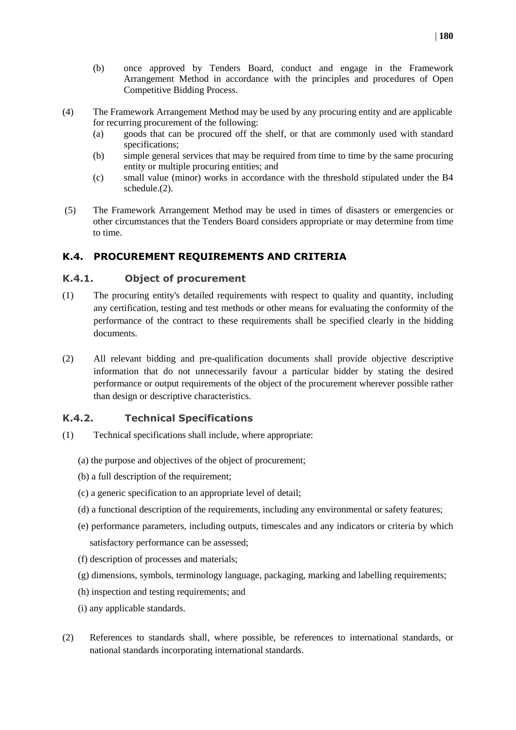- (4) The Framework Arrangement Method may be used by any procuring entity and are applicable for recurring procurement of the following:
	- (a) goods that can be procured off the shelf, or that are commonly used with standard specifications;
	- (b) simple general services that may be required from time to time by the same procuring entity or multiple procuring entities; and
	- (c) small value (minor) works in accordance with the threshold stipulated under the B4 schedule.(2).
- (5) The Framework Arrangement Method may be used in times of disasters or emergencies or other circumstances that the Tenders Board considers appropriate or may determine from time to time.

#### <span id="page-15-0"></span>**K.4. PROCUREMENT REQUIREMENTS AND CRITERIA**

Competitive Bidding Process.

#### <span id="page-15-1"></span>**K.4.1. Object of procurement**

- (1) The procuring entity's detailed requirements with respect to quality and quantity, including any certification, testing and test methods or other means for evaluating the conformity of the performance of the contract to these requirements shall be specified clearly in the bidding documents.
- (2) All relevant bidding and pre-qualification documents shall provide objective descriptive information that do not unnecessarily favour a particular bidder by stating the desired performance or output requirements of the object of the procurement wherever possible rather than design or descriptive characteristics.

#### <span id="page-15-2"></span>**K.4.2. Technical Specifications**

- (1) Technical specifications shall include, where appropriate:
	- (a) the purpose and objectives of the object of procurement;
	- (b) a full description of the requirement;
	- (c) a generic specification to an appropriate level of detail;
	- (d) a functional description of the requirements, including any environmental or safety features;
	- (e) performance parameters, including outputs, timescales and any indicators or criteria by which satisfactory performance can be assessed;
	- (f) description of processes and materials;
	- (g) dimensions, symbols, terminology language, packaging, marking and labelling requirements;
	- (h) inspection and testing requirements; and
	- (i) any applicable standards.
- (2) References to standards shall, where possible, be references to international standards, or national standards incorporating international standards.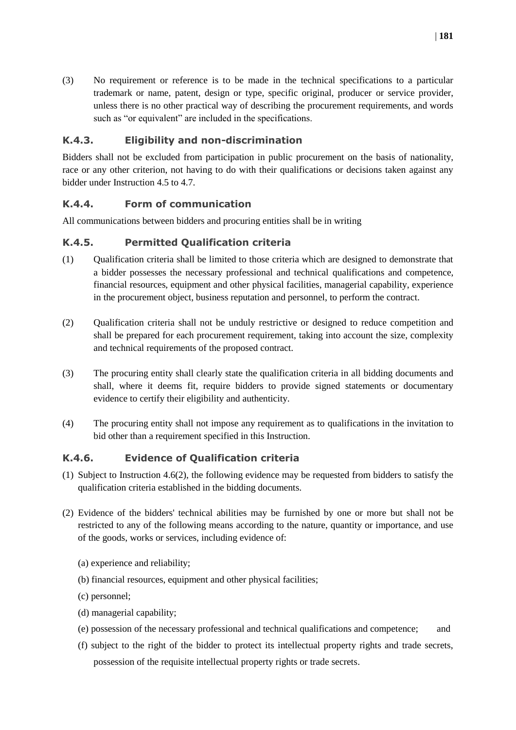(3) No requirement or reference is to be made in the technical specifications to a particular trademark or name, patent, design or type, specific original, producer or service provider, unless there is no other practical way of describing the procurement requirements, and words such as "or equivalent" are included in the specifications.

#### <span id="page-16-0"></span>**K.4.3. Eligibility and non-discrimination**

Bidders shall not be excluded from participation in public procurement on the basis of nationality, race or any other criterion, not having to do with their qualifications or decisions taken against any bidder under Instruction 4.5 to 4.7.

#### <span id="page-16-1"></span>**K.4.4. Form of communication**

All communications between bidders and procuring entities shall be in writing

#### <span id="page-16-2"></span>**K.4.5. Permitted Qualification criteria**

- (1) Qualification criteria shall be limited to those criteria which are designed to demonstrate that a bidder possesses the necessary professional and technical qualifications and competence, financial resources, equipment and other physical facilities, managerial capability, experience in the procurement object, business reputation and personnel, to perform the contract.
- (2) Qualification criteria shall not be unduly restrictive or designed to reduce competition and shall be prepared for each procurement requirement, taking into account the size, complexity and technical requirements of the proposed contract.
- (3) The procuring entity shall clearly state the qualification criteria in all bidding documents and shall, where it deems fit, require bidders to provide signed statements or documentary evidence to certify their eligibility and authenticity.
- (4) The procuring entity shall not impose any requirement as to qualifications in the invitation to bid other than a requirement specified in this Instruction.

#### <span id="page-16-3"></span>**K.4.6. Evidence of Qualification criteria**

- (1) Subject to Instruction 4.6(2), the following evidence may be requested from bidders to satisfy the qualification criteria established in the bidding documents.
- (2) Evidence of the bidders' technical abilities may be furnished by one or more but shall not be restricted to any of the following means according to the nature, quantity or importance, and use of the goods, works or services, including evidence of:
	- (a) experience and reliability;
	- (b) financial resources, equipment and other physical facilities;
	- (c) personnel;
	- (d) managerial capability;
	- (e) possession of the necessary professional and technical qualifications and competence; and
	- (f) subject to the right of the bidder to protect its intellectual property rights and trade secrets, possession of the requisite intellectual property rights or trade secrets.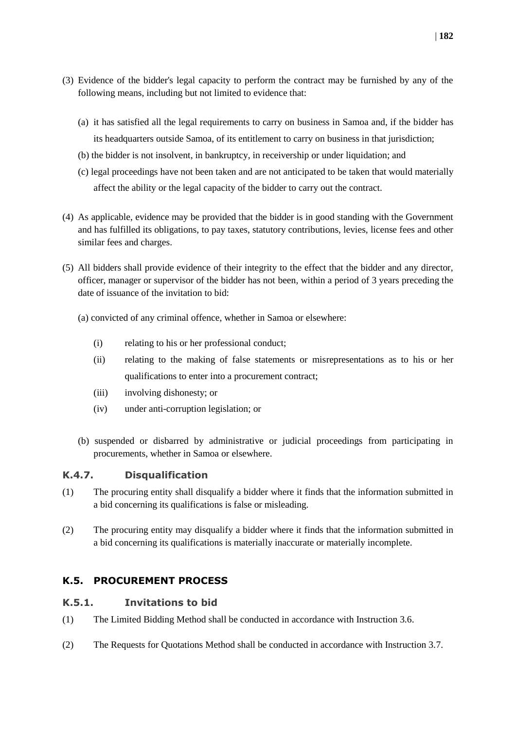- (3) Evidence of the bidder's legal capacity to perform the contract may be furnished by any of the following means, including but not limited to evidence that:
	- (a) it has satisfied all the legal requirements to carry on business in Samoa and, if the bidder has its headquarters outside Samoa, of its entitlement to carry on business in that jurisdiction;
	- (b) the bidder is not insolvent, in bankruptcy, in receivership or under liquidation; and
	- (c) legal proceedings have not been taken and are not anticipated to be taken that would materially affect the ability or the legal capacity of the bidder to carry out the contract.
- (4) As applicable, evidence may be provided that the bidder is in good standing with the Government and has fulfilled its obligations, to pay taxes, statutory contributions, levies, license fees and other similar fees and charges.
- (5) All bidders shall provide evidence of their integrity to the effect that the bidder and any director, officer, manager or supervisor of the bidder has not been, within a period of 3 years preceding the date of issuance of the invitation to bid:
	- (a) convicted of any criminal offence, whether in Samoa or elsewhere:
		- (i) relating to his or her professional conduct;
		- (ii) relating to the making of false statements or misrepresentations as to his or her qualifications to enter into a procurement contract;
		- (iii) involving dishonesty; or
		- (iv) under anti-corruption legislation; or
	- (b) suspended or disbarred by administrative or judicial proceedings from participating in procurements, whether in Samoa or elsewhere.

#### <span id="page-17-0"></span>**K.4.7. Disqualification**

- (1) The procuring entity shall disqualify a bidder where it finds that the information submitted in a bid concerning its qualifications is false or misleading.
- (2) The procuring entity may disqualify a bidder where it finds that the information submitted in a bid concerning its qualifications is materially inaccurate or materially incomplete.

#### <span id="page-17-1"></span>**K.5. PROCUREMENT PROCESS**

#### <span id="page-17-2"></span>**K.5.1. Invitations to bid**

- (1) The Limited Bidding Method shall be conducted in accordance with Instruction 3.6.
- (2) The Requests for Quotations Method shall be conducted in accordance with Instruction 3.7.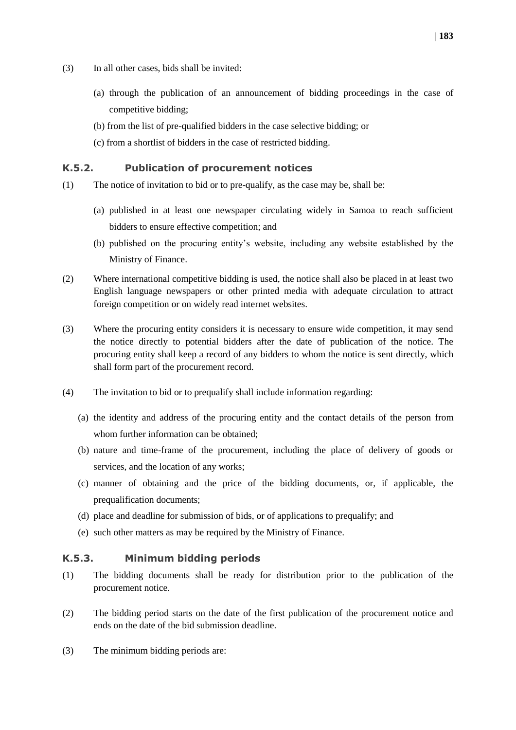- (3) In all other cases, bids shall be invited:
	- (a) through the publication of an announcement of bidding proceedings in the case of competitive bidding;
	- (b) from the list of pre-qualified bidders in the case selective bidding; or
	- (c) from a shortlist of bidders in the case of restricted bidding.

#### <span id="page-18-0"></span>**K.5.2. Publication of procurement notices**

- (1) The notice of invitation to bid or to pre-qualify, as the case may be, shall be:
	- (a) published in at least one newspaper circulating widely in Samoa to reach sufficient bidders to ensure effective competition; and
	- (b) published on the procuring entity's website, including any website established by the Ministry of Finance.
- (2) Where international competitive bidding is used, the notice shall also be placed in at least two English language newspapers or other printed media with adequate circulation to attract foreign competition or on widely read internet websites.
- (3) Where the procuring entity considers it is necessary to ensure wide competition, it may send the notice directly to potential bidders after the date of publication of the notice. The procuring entity shall keep a record of any bidders to whom the notice is sent directly, which shall form part of the procurement record.
- (4) The invitation to bid or to prequalify shall include information regarding:
	- (a) the identity and address of the procuring entity and the contact details of the person from whom further information can be obtained;
	- (b) nature and time-frame of the procurement, including the place of delivery of goods or services, and the location of any works;
	- (c) manner of obtaining and the price of the bidding documents, or, if applicable, the prequalification documents;
	- (d) place and deadline for submission of bids, or of applications to prequalify; and
	- (e) such other matters as may be required by the Ministry of Finance.

#### <span id="page-18-1"></span>**K.5.3. Minimum bidding periods**

- (1) The bidding documents shall be ready for distribution prior to the publication of the procurement notice.
- (2) The bidding period starts on the date of the first publication of the procurement notice and ends on the date of the bid submission deadline.
- (3) The minimum bidding periods are: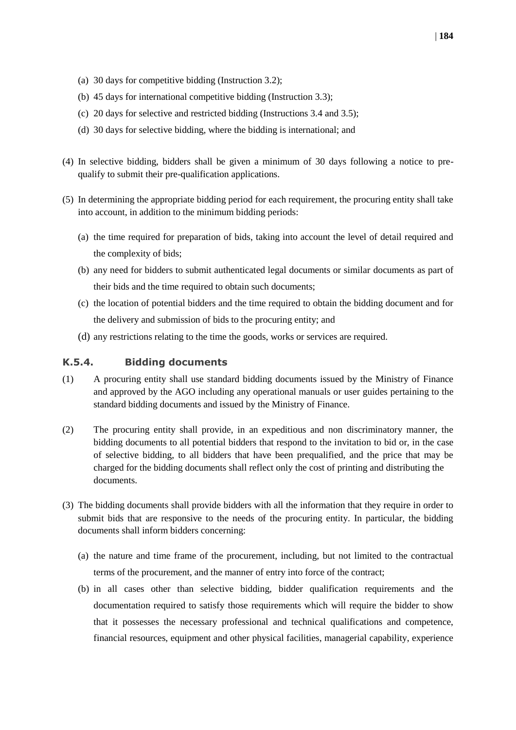- (a) 30 days for competitive bidding (Instruction 3.2);
- (b) 45 days for international competitive bidding (Instruction 3.3);
- (c) 20 days for selective and restricted bidding (Instructions 3.4 and 3.5);
- (d) 30 days for selective bidding, where the bidding is international; and
- (4) In selective bidding, bidders shall be given a minimum of 30 days following a notice to prequalify to submit their pre-qualification applications.
- (5) In determining the appropriate bidding period for each requirement, the procuring entity shall take into account, in addition to the minimum bidding periods:
	- (a) the time required for preparation of bids, taking into account the level of detail required and the complexity of bids;
	- (b) any need for bidders to submit authenticated legal documents or similar documents as part of their bids and the time required to obtain such documents;
	- (c) the location of potential bidders and the time required to obtain the bidding document and for the delivery and submission of bids to the procuring entity; and
	- (d) any restrictions relating to the time the goods, works or services are required.

#### <span id="page-19-0"></span>**K.5.4. Bidding documents**

- (1) A procuring entity shall use standard bidding documents issued by the Ministry of Finance and approved by the AGO including any operational manuals or user guides pertaining to the standard bidding documents and issued by the Ministry of Finance.
- (2) The procuring entity shall provide, in an expeditious and non discriminatory manner, the bidding documents to all potential bidders that respond to the invitation to bid or, in the case of selective bidding, to all bidders that have been prequalified, and the price that may be charged for the bidding documents shall reflect only the cost of printing and distributing the documents.
- (3) The bidding documents shall provide bidders with all the information that they require in order to submit bids that are responsive to the needs of the procuring entity. In particular, the bidding documents shall inform bidders concerning:
	- (a) the nature and time frame of the procurement, including, but not limited to the contractual terms of the procurement, and the manner of entry into force of the contract;
	- (b) in all cases other than selective bidding, bidder qualification requirements and the documentation required to satisfy those requirements which will require the bidder to show that it possesses the necessary professional and technical qualifications and competence, financial resources, equipment and other physical facilities, managerial capability, experience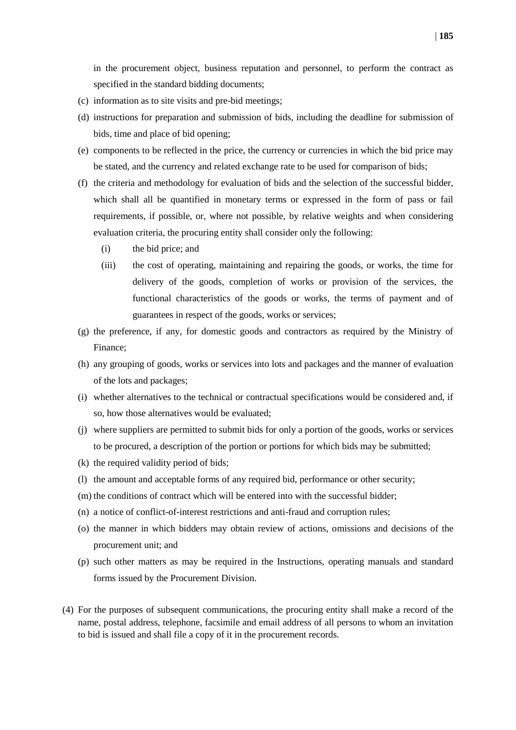in the procurement object, business reputation and personnel, to perform the contract as specified in the standard bidding documents;

- (c) information as to site visits and pre-bid meetings;
- (d) instructions for preparation and submission of bids, including the deadline for submission of bids, time and place of bid opening;
- (e) components to be reflected in the price, the currency or currencies in which the bid price may be stated, and the currency and related exchange rate to be used for comparison of bids;
- (f) the criteria and methodology for evaluation of bids and the selection of the successful bidder, which shall all be quantified in monetary terms or expressed in the form of pass or fail requirements, if possible, or, where not possible, by relative weights and when considering evaluation criteria, the procuring entity shall consider only the following:
	- (i) the bid price; and
	- (iii) the cost of operating, maintaining and repairing the goods, or works, the time for delivery of the goods, completion of works or provision of the services, the functional characteristics of the goods or works, the terms of payment and of guarantees in respect of the goods, works or services;
- (g) the preference, if any, for domestic goods and contractors as required by the Ministry of Finance;
- (h) any grouping of goods, works or services into lots and packages and the manner of evaluation of the lots and packages;
- (i) whether alternatives to the technical or contractual specifications would be considered and, if so, how those alternatives would be evaluated;
- (j) where suppliers are permitted to submit bids for only a portion of the goods, works or services to be procured, a description of the portion or portions for which bids may be submitted;
- (k) the required validity period of bids;
- (l) the amount and acceptable forms of any required bid, performance or other security;
- (m) the conditions of contract which will be entered into with the successful bidder;
- (n) a notice of conflict-of-interest restrictions and anti-fraud and corruption rules;
- (o) the manner in which bidders may obtain review of actions, omissions and decisions of the procurement unit; and
- (p) such other matters as may be required in the Instructions, operating manuals and standard forms issued by the Procurement Division.
- (4) For the purposes of subsequent communications, the procuring entity shall make a record of the name, postal address, telephone, facsimile and email address of all persons to whom an invitation to bid is issued and shall file a copy of it in the procurement records.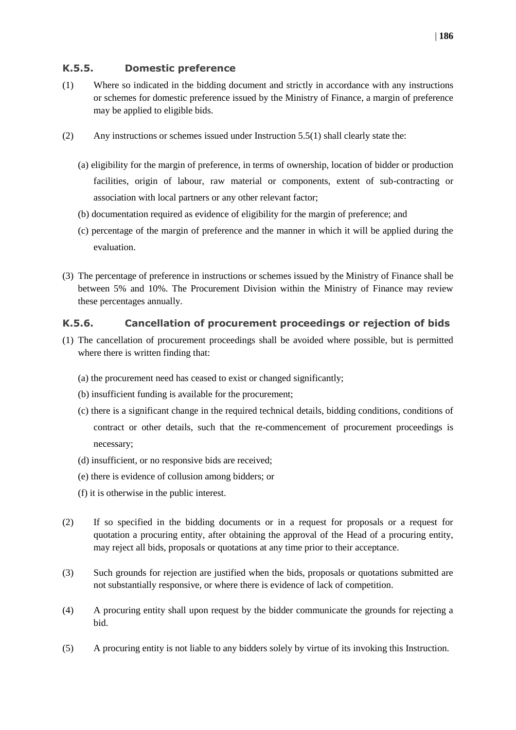#### <span id="page-21-0"></span>**K.5.5. Domestic preference**

- (1) Where so indicated in the bidding document and strictly in accordance with any instructions or schemes for domestic preference issued by the Ministry of Finance, a margin of preference may be applied to eligible bids.
- (2) Any instructions or schemes issued under Instruction 5.5(1) shall clearly state the:
	- (a) eligibility for the margin of preference, in terms of ownership, location of bidder or production facilities, origin of labour, raw material or components, extent of sub-contracting or association with local partners or any other relevant factor;
	- (b) documentation required as evidence of eligibility for the margin of preference; and
	- (c) percentage of the margin of preference and the manner in which it will be applied during the evaluation.
- (3) The percentage of preference in instructions or schemes issued by the Ministry of Finance shall be between 5% and 10%. The Procurement Division within the Ministry of Finance may review these percentages annually.

#### <span id="page-21-1"></span>**K.5.6. Cancellation of procurement proceedings or rejection of bids**

- (1) The cancellation of procurement proceedings shall be avoided where possible, but is permitted where there is written finding that:
	- (a) the procurement need has ceased to exist or changed significantly;
	- (b) insufficient funding is available for the procurement;
	- (c) there is a significant change in the required technical details, bidding conditions, conditions of contract or other details, such that the re-commencement of procurement proceedings is necessary;
	- (d) insufficient, or no responsive bids are received;
	- (e) there is evidence of collusion among bidders; or
	- (f) it is otherwise in the public interest.
- (2) If so specified in the bidding documents or in a request for proposals or a request for quotation a procuring entity, after obtaining the approval of the Head of a procuring entity, may reject all bids, proposals or quotations at any time prior to their acceptance.
- (3) Such grounds for rejection are justified when the bids, proposals or quotations submitted are not substantially responsive, or where there is evidence of lack of competition.
- (4) A procuring entity shall upon request by the bidder communicate the grounds for rejecting a bid.
- (5) A procuring entity is not liable to any bidders solely by virtue of its invoking this Instruction.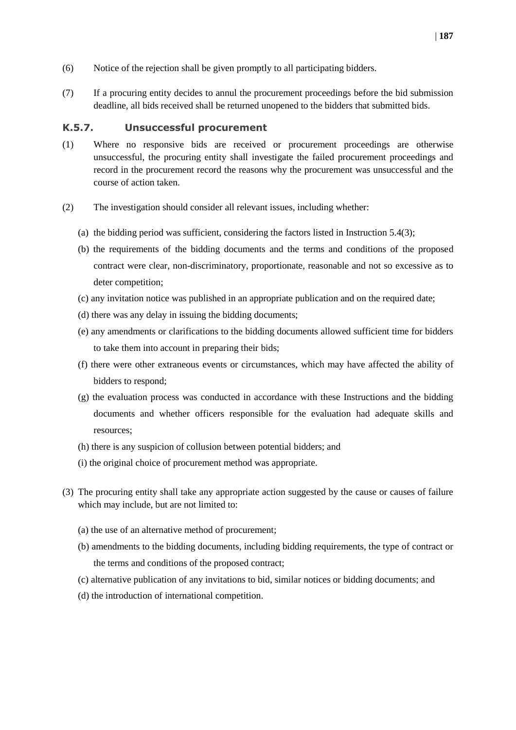- (6) Notice of the rejection shall be given promptly to all participating bidders.
- (7) If a procuring entity decides to annul the procurement proceedings before the bid submission deadline, all bids received shall be returned unopened to the bidders that submitted bids.

#### <span id="page-22-0"></span>**K.5.7. Unsuccessful procurement**

- (1) Where no responsive bids are received or procurement proceedings are otherwise unsuccessful, the procuring entity shall investigate the failed procurement proceedings and record in the procurement record the reasons why the procurement was unsuccessful and the course of action taken.
- (2) The investigation should consider all relevant issues, including whether:
	- (a) the bidding period was sufficient, considering the factors listed in Instruction 5.4(3);
	- (b) the requirements of the bidding documents and the terms and conditions of the proposed contract were clear, non-discriminatory, proportionate, reasonable and not so excessive as to deter competition;
	- (c) any invitation notice was published in an appropriate publication and on the required date;
	- (d) there was any delay in issuing the bidding documents;
	- (e) any amendments or clarifications to the bidding documents allowed sufficient time for bidders to take them into account in preparing their bids;
	- (f) there were other extraneous events or circumstances, which may have affected the ability of bidders to respond;
	- (g) the evaluation process was conducted in accordance with these Instructions and the bidding documents and whether officers responsible for the evaluation had adequate skills and resources;
	- (h) there is any suspicion of collusion between potential bidders; and
	- (i) the original choice of procurement method was appropriate.
- (3) The procuring entity shall take any appropriate action suggested by the cause or causes of failure which may include, but are not limited to:
	- (a) the use of an alternative method of procurement;
	- (b) amendments to the bidding documents, including bidding requirements, the type of contract or the terms and conditions of the proposed contract;
	- (c) alternative publication of any invitations to bid, similar notices or bidding documents; and
	- (d) the introduction of international competition.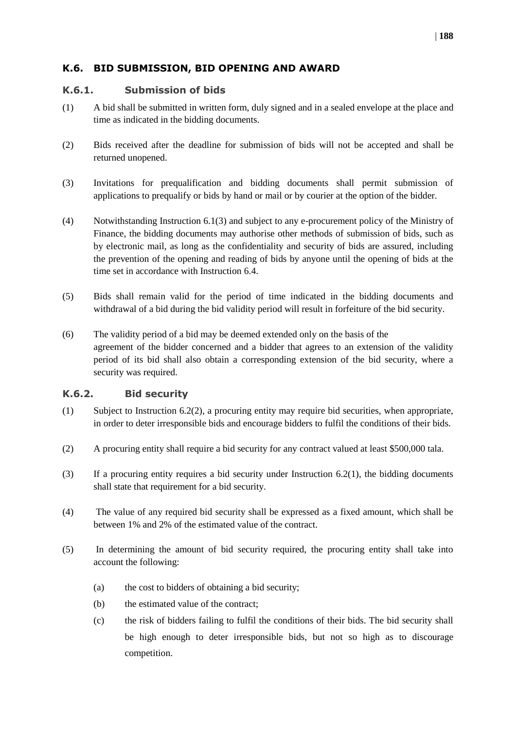#### <span id="page-23-0"></span>**K.6. BID SUBMISSION, BID OPENING AND AWARD**

#### <span id="page-23-1"></span>**K.6.1. Submission of bids**

- (1) A bid shall be submitted in written form, duly signed and in a sealed envelope at the place and time as indicated in the bidding documents.
- (2) Bids received after the deadline for submission of bids will not be accepted and shall be returned unopened.
- (3) Invitations for prequalification and bidding documents shall permit submission of applications to prequalify or bids by hand or mail or by courier at the option of the bidder.
- (4) Notwithstanding Instruction 6.1(3) and subject to any e-procurement policy of the Ministry of Finance, the bidding documents may authorise other methods of submission of bids, such as by electronic mail, as long as the confidentiality and security of bids are assured, including the prevention of the opening and reading of bids by anyone until the opening of bids at the time set in accordance with Instruction 6.4.
- (5) Bids shall remain valid for the period of time indicated in the bidding documents and withdrawal of a bid during the bid validity period will result in forfeiture of the bid security.
- (6) The validity period of a bid may be deemed extended only on the basis of the agreement of the bidder concerned and a bidder that agrees to an extension of the validity period of its bid shall also obtain a corresponding extension of the bid security, where a security was required.

#### <span id="page-23-2"></span>**K.6.2. Bid security**

- (1) Subject to Instruction 6.2(2), a procuring entity may require bid securities, when appropriate, in order to deter irresponsible bids and encourage bidders to fulfil the conditions of their bids.
- (2) A procuring entity shall require a bid security for any contract valued at least \$500,000 tala.
- (3) If a procuring entity requires a bid security under Instruction  $6.2(1)$ , the bidding documents shall state that requirement for a bid security.
- (4) The value of any required bid security shall be expressed as a fixed amount, which shall be between 1% and 2% of the estimated value of the contract.
- (5) In determining the amount of bid security required, the procuring entity shall take into account the following:
	- (a) the cost to bidders of obtaining a bid security;
	- (b) the estimated value of the contract;
	- (c) the risk of bidders failing to fulfil the conditions of their bids. The bid security shall be high enough to deter irresponsible bids, but not so high as to discourage competition.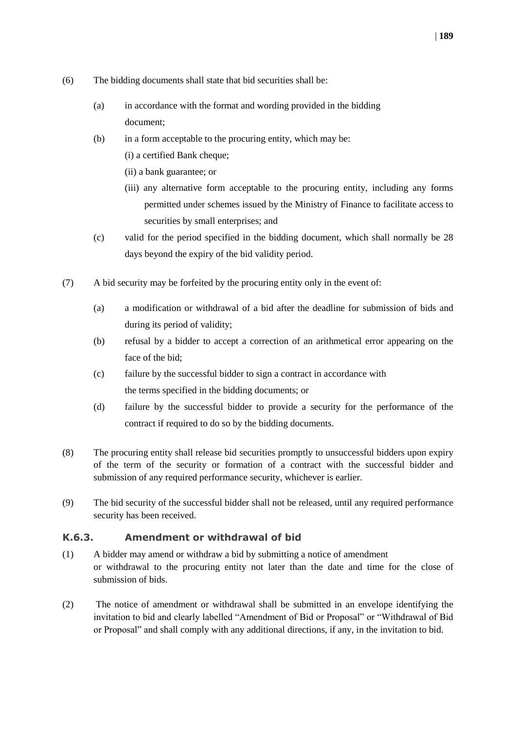- (6) The bidding documents shall state that bid securities shall be:
	- (a) in accordance with the format and wording provided in the bidding document;
	- (b) in a form acceptable to the procuring entity, which may be:
		- (i) a certified Bank cheque;
		- (ii) a bank guarantee; or
		- (iii) any alternative form acceptable to the procuring entity, including any forms permitted under schemes issued by the Ministry of Finance to facilitate access to securities by small enterprises; and
	- (c) valid for the period specified in the bidding document, which shall normally be 28 days beyond the expiry of the bid validity period.
- (7) A bid security may be forfeited by the procuring entity only in the event of:
	- (a) a modification or withdrawal of a bid after the deadline for submission of bids and during its period of validity;
	- (b) refusal by a bidder to accept a correction of an arithmetical error appearing on the face of the bid;
	- (c) failure by the successful bidder to sign a contract in accordance with the terms specified in the bidding documents; or
	- (d) failure by the successful bidder to provide a security for the performance of the contract if required to do so by the bidding documents.
- (8) The procuring entity shall release bid securities promptly to unsuccessful bidders upon expiry of the term of the security or formation of a contract with the successful bidder and submission of any required performance security, whichever is earlier.
- (9) The bid security of the successful bidder shall not be released, until any required performance security has been received.

#### <span id="page-24-0"></span>**K.6.3. Amendment or withdrawal of bid**

- (1) A bidder may amend or withdraw a bid by submitting a notice of amendment or withdrawal to the procuring entity not later than the date and time for the close of submission of bids.
- (2) The notice of amendment or withdrawal shall be submitted in an envelope identifying the invitation to bid and clearly labelled "Amendment of Bid or Proposal" or "Withdrawal of Bid or Proposal" and shall comply with any additional directions, if any, in the invitation to bid.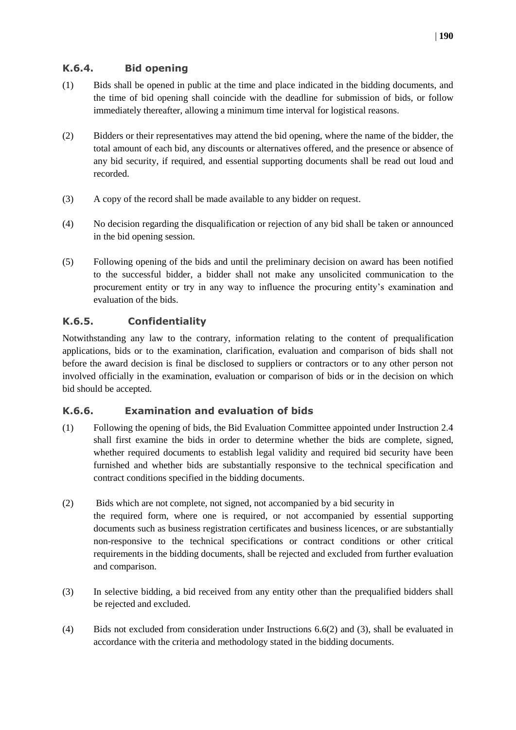#### <span id="page-25-0"></span>**K.6.4. Bid opening**

- (1) Bids shall be opened in public at the time and place indicated in the bidding documents, and the time of bid opening shall coincide with the deadline for submission of bids, or follow immediately thereafter, allowing a minimum time interval for logistical reasons.
- (2) Bidders or their representatives may attend the bid opening, where the name of the bidder, the total amount of each bid, any discounts or alternatives offered, and the presence or absence of any bid security, if required, and essential supporting documents shall be read out loud and recorded.
- (3) A copy of the record shall be made available to any bidder on request.
- (4) No decision regarding the disqualification or rejection of any bid shall be taken or announced in the bid opening session.
- (5) Following opening of the bids and until the preliminary decision on award has been notified to the successful bidder, a bidder shall not make any unsolicited communication to the procurement entity or try in any way to influence the procuring entity's examination and evaluation of the bids.

#### <span id="page-25-1"></span>**K.6.5. Confidentiality**

Notwithstanding any law to the contrary, information relating to the content of prequalification applications, bids or to the examination, clarification, evaluation and comparison of bids shall not before the award decision is final be disclosed to suppliers or contractors or to any other person not involved officially in the examination, evaluation or comparison of bids or in the decision on which bid should be accepted.

#### <span id="page-25-2"></span>**K.6.6. Examination and evaluation of bids**

- (1) Following the opening of bids, the Bid Evaluation Committee appointed under Instruction 2.4 shall first examine the bids in order to determine whether the bids are complete, signed, whether required documents to establish legal validity and required bid security have been furnished and whether bids are substantially responsive to the technical specification and contract conditions specified in the bidding documents.
- (2) Bids which are not complete, not signed, not accompanied by a bid security in the required form, where one is required, or not accompanied by essential supporting documents such as business registration certificates and business licences, or are substantially non-responsive to the technical specifications or contract conditions or other critical requirements in the bidding documents, shall be rejected and excluded from further evaluation and comparison.
- (3) In selective bidding, a bid received from any entity other than the prequalified bidders shall be rejected and excluded.
- (4) Bids not excluded from consideration under Instructions 6.6(2) and (3), shall be evaluated in accordance with the criteria and methodology stated in the bidding documents.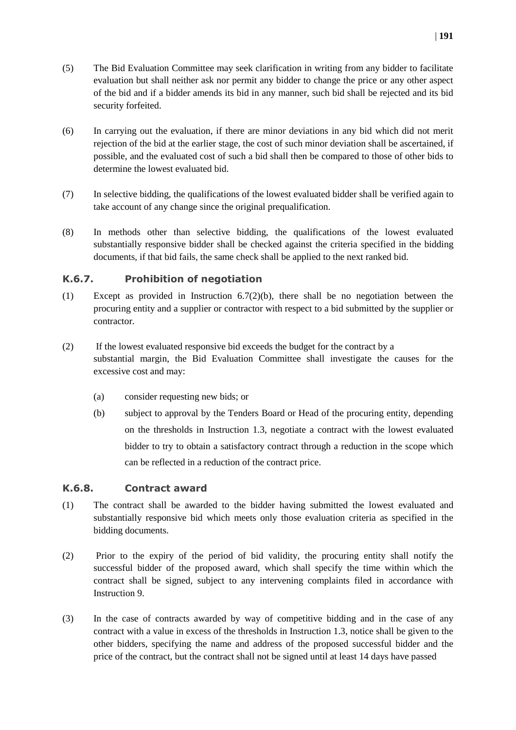- (5) The Bid Evaluation Committee may seek clarification in writing from any bidder to facilitate evaluation but shall neither ask nor permit any bidder to change the price or any other aspect of the bid and if a bidder amends its bid in any manner, such bid shall be rejected and its bid security forfeited.
- (6) In carrying out the evaluation, if there are minor deviations in any bid which did not merit rejection of the bid at the earlier stage, the cost of such minor deviation shall be ascertained, if possible, and the evaluated cost of such a bid shall then be compared to those of other bids to determine the lowest evaluated bid.
- (7) In selective bidding, the qualifications of the lowest evaluated bidder shall be verified again to take account of any change since the original prequalification.
- (8) In methods other than selective bidding, the qualifications of the lowest evaluated substantially responsive bidder shall be checked against the criteria specified in the bidding documents, if that bid fails, the same check shall be applied to the next ranked bid.

#### <span id="page-26-0"></span>**K.6.7. Prohibition of negotiation**

- (1) Except as provided in Instruction 6.7(2)(b), there shall be no negotiation between the procuring entity and a supplier or contractor with respect to a bid submitted by the supplier or contractor.
- (2) If the lowest evaluated responsive bid exceeds the budget for the contract by a substantial margin, the Bid Evaluation Committee shall investigate the causes for the excessive cost and may:
	- (a) consider requesting new bids; or
	- (b) subject to approval by the Tenders Board or Head of the procuring entity, depending on the thresholds in Instruction 1.3, negotiate a contract with the lowest evaluated bidder to try to obtain a satisfactory contract through a reduction in the scope which can be reflected in a reduction of the contract price.

#### <span id="page-26-1"></span>**K.6.8. Contract award**

- (1) The contract shall be awarded to the bidder having submitted the lowest evaluated and substantially responsive bid which meets only those evaluation criteria as specified in the bidding documents.
- (2) Prior to the expiry of the period of bid validity, the procuring entity shall notify the successful bidder of the proposed award, which shall specify the time within which the contract shall be signed, subject to any intervening complaints filed in accordance with Instruction 9.
- (3) In the case of contracts awarded by way of competitive bidding and in the case of any contract with a value in excess of the thresholds in Instruction 1.3, notice shall be given to the other bidders, specifying the name and address of the proposed successful bidder and the price of the contract, but the contract shall not be signed until at least 14 days have passed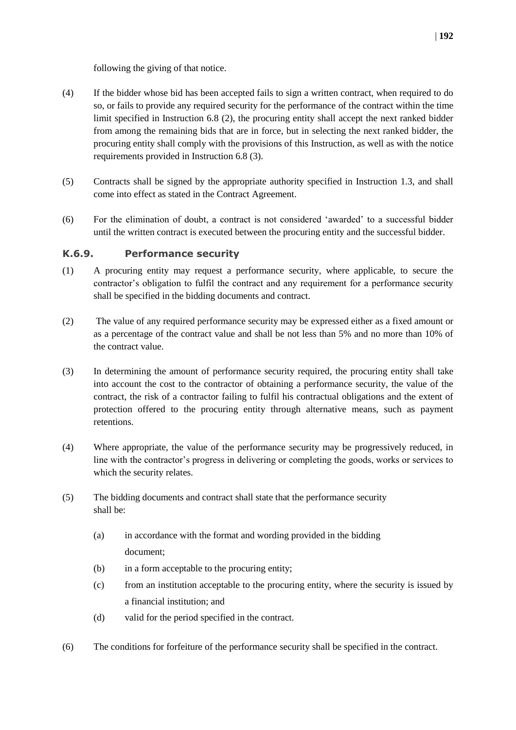following the giving of that notice.

- (4) If the bidder whose bid has been accepted fails to sign a written contract, when required to do so, or fails to provide any required security for the performance of the contract within the time limit specified in Instruction 6.8 (2), the procuring entity shall accept the next ranked bidder from among the remaining bids that are in force, but in selecting the next ranked bidder, the procuring entity shall comply with the provisions of this Instruction, as well as with the notice requirements provided in Instruction 6.8 (3).
- (5) Contracts shall be signed by the appropriate authority specified in Instruction 1.3, and shall come into effect as stated in the Contract Agreement.
- (6) For the elimination of doubt, a contract is not considered 'awarded' to a successful bidder until the written contract is executed between the procuring entity and the successful bidder.

#### <span id="page-27-0"></span>**K.6.9. Performance security**

- (1) A procuring entity may request a performance security, where applicable, to secure the contractor's obligation to fulfil the contract and any requirement for a performance security shall be specified in the bidding documents and contract.
- (2) The value of any required performance security may be expressed either as a fixed amount or as a percentage of the contract value and shall be not less than 5% and no more than 10% of the contract value.
- (3) In determining the amount of performance security required, the procuring entity shall take into account the cost to the contractor of obtaining a performance security, the value of the contract, the risk of a contractor failing to fulfil his contractual obligations and the extent of protection offered to the procuring entity through alternative means, such as payment retentions.
- (4) Where appropriate, the value of the performance security may be progressively reduced, in line with the contractor's progress in delivering or completing the goods, works or services to which the security relates.
- (5) The bidding documents and contract shall state that the performance security shall be:
	- (a) in accordance with the format and wording provided in the bidding document;
	- (b) in a form acceptable to the procuring entity;
	- (c) from an institution acceptable to the procuring entity, where the security is issued by a financial institution; and
	- (d) valid for the period specified in the contract.
- (6) The conditions for forfeiture of the performance security shall be specified in the contract.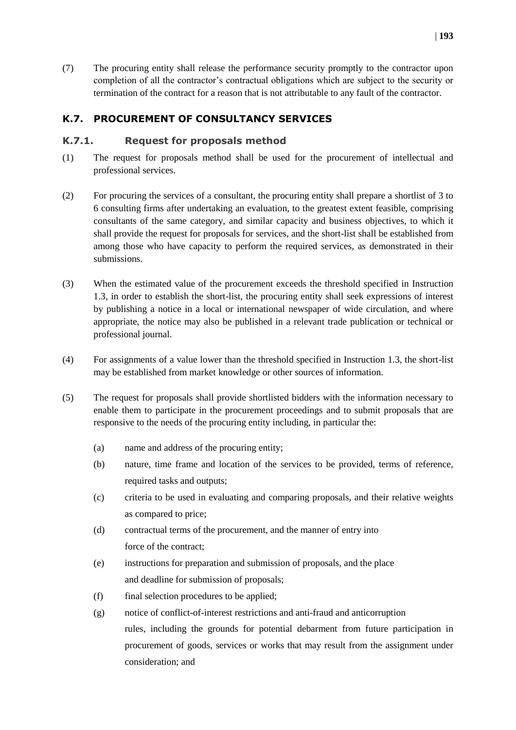(7) The procuring entity shall release the performance security promptly to the contractor upon completion of all the contractor's contractual obligations which are subject to the security or termination of the contract for a reason that is not attributable to any fault of the contractor.

#### <span id="page-28-0"></span>**K.7. PROCUREMENT OF CONSULTANCY SERVICES**

#### <span id="page-28-1"></span>**K.7.1. Request for proposals method**

- (1) The request for proposals method shall be used for the procurement of intellectual and professional services.
- (2) For procuring the services of a consultant, the procuring entity shall prepare a shortlist of 3 to 6 consulting firms after undertaking an evaluation, to the greatest extent feasible, comprising consultants of the same category, and similar capacity and business objectives, to which it shall provide the request for proposals for services, and the short-list shall be established from among those who have capacity to perform the required services, as demonstrated in their submissions.
- (3) When the estimated value of the procurement exceeds the threshold specified in Instruction 1.3, in order to establish the short-list, the procuring entity shall seek expressions of interest by publishing a notice in a local or international newspaper of wide circulation, and where appropriate, the notice may also be published in a relevant trade publication or technical or professional journal.
- (4) For assignments of a value lower than the threshold specified in Instruction 1.3, the short-list may be established from market knowledge or other sources of information.
- (5) The request for proposals shall provide shortlisted bidders with the information necessary to enable them to participate in the procurement proceedings and to submit proposals that are responsive to the needs of the procuring entity including, in particular the:
	- (a) name and address of the procuring entity;
	- (b) nature, time frame and location of the services to be provided, terms of reference, required tasks and outputs;
	- (c) criteria to be used in evaluating and comparing proposals, and their relative weights as compared to price;
	- (d) contractual terms of the procurement, and the manner of entry into force of the contract;
	- (e) instructions for preparation and submission of proposals, and the place and deadline for submission of proposals;
	- (f) final selection procedures to be applied;
	- (g) notice of conflict-of-interest restrictions and anti-fraud and anticorruption rules, including the grounds for potential debarment from future participation in procurement of goods, services or works that may result from the assignment under consideration; and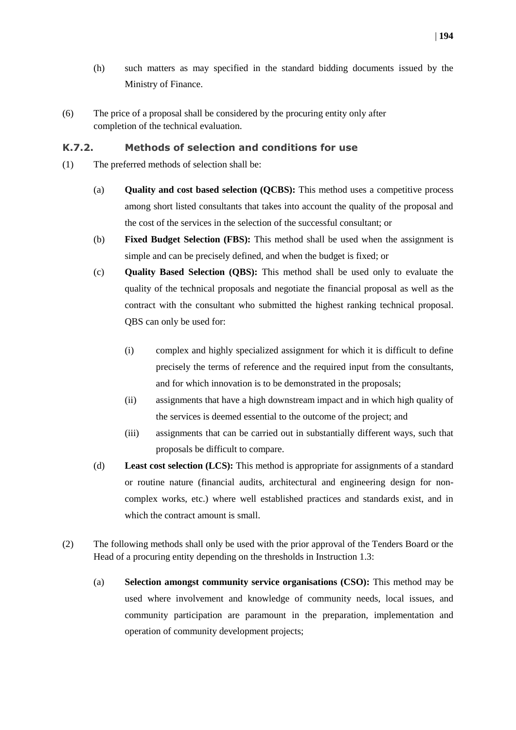- (h) such matters as may specified in the standard bidding documents issued by the Ministry of Finance.
- (6) The price of a proposal shall be considered by the procuring entity only after completion of the technical evaluation.

#### <span id="page-29-0"></span>**K.7.2. Methods of selection and conditions for use**

- (1) The preferred methods of selection shall be:
	- (a) **Quality and cost based selection (QCBS):** This method uses a competitive process among short listed consultants that takes into account the quality of the proposal and the cost of the services in the selection of the successful consultant; or
	- (b) **Fixed Budget Selection (FBS):** This method shall be used when the assignment is simple and can be precisely defined, and when the budget is fixed; or
	- (c) **Quality Based Selection (QBS):** This method shall be used only to evaluate the quality of the technical proposals and negotiate the financial proposal as well as the contract with the consultant who submitted the highest ranking technical proposal. QBS can only be used for:
		- (i) complex and highly specialized assignment for which it is difficult to define precisely the terms of reference and the required input from the consultants, and for which innovation is to be demonstrated in the proposals;
		- (ii) assignments that have a high downstream impact and in which high quality of the services is deemed essential to the outcome of the project; and
		- (iii) assignments that can be carried out in substantially different ways, such that proposals be difficult to compare.
	- (d) **Least cost selection (LCS):** This method is appropriate for assignments of a standard or routine nature (financial audits, architectural and engineering design for noncomplex works, etc.) where well established practices and standards exist, and in which the contract amount is small.
- (2) The following methods shall only be used with the prior approval of the Tenders Board or the Head of a procuring entity depending on the thresholds in Instruction 1.3:
	- (a) **Selection amongst community service organisations (CSO):** This method may be used where involvement and knowledge of community needs, local issues, and community participation are paramount in the preparation, implementation and operation of community development projects;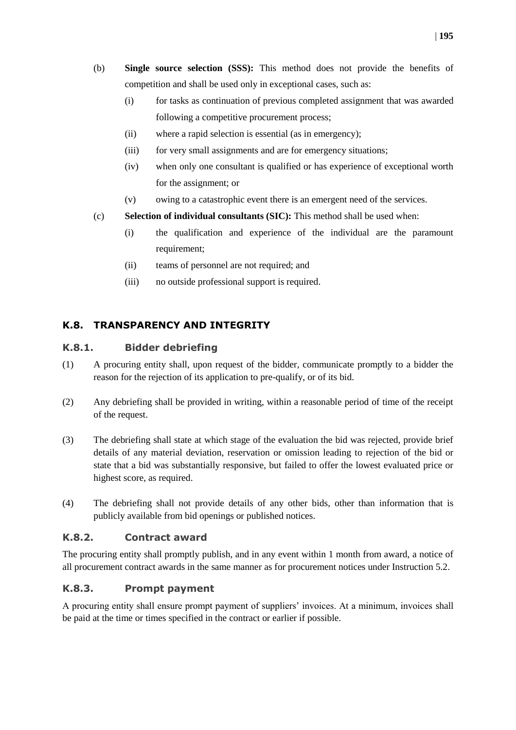- (b) **Single source selection (SSS):** This method does not provide the benefits of competition and shall be used only in exceptional cases, such as:
	- (i) for tasks as continuation of previous completed assignment that was awarded following a competitive procurement process;
	- (ii) where a rapid selection is essential (as in emergency);
	- (iii) for very small assignments and are for emergency situations;
	- (iv) when only one consultant is qualified or has experience of exceptional worth for the assignment; or
	- (v) owing to a catastrophic event there is an emergent need of the services.
- (c) **Selection of individual consultants (SIC):** This method shall be used when:
	- (i) the qualification and experience of the individual are the paramount requirement;
	- (ii) teams of personnel are not required; and
	- (iii) no outside professional support is required.

#### <span id="page-30-0"></span>**K.8. TRANSPARENCY AND INTEGRITY**

#### <span id="page-30-1"></span>**K.8.1. Bidder debriefing**

- (1) A procuring entity shall, upon request of the bidder, communicate promptly to a bidder the reason for the rejection of its application to pre-qualify, or of its bid.
- (2) Any debriefing shall be provided in writing, within a reasonable period of time of the receipt of the request.
- (3) The debriefing shall state at which stage of the evaluation the bid was rejected, provide brief details of any material deviation, reservation or omission leading to rejection of the bid or state that a bid was substantially responsive, but failed to offer the lowest evaluated price or highest score, as required.
- (4) The debriefing shall not provide details of any other bids, other than information that is publicly available from bid openings or published notices.

#### <span id="page-30-2"></span>**K.8.2. Contract award**

The procuring entity shall promptly publish, and in any event within 1 month from award, a notice of all procurement contract awards in the same manner as for procurement notices under Instruction 5.2.

#### <span id="page-30-3"></span>**K.8.3. Prompt payment**

A procuring entity shall ensure prompt payment of suppliers' invoices. At a minimum, invoices shall be paid at the time or times specified in the contract or earlier if possible.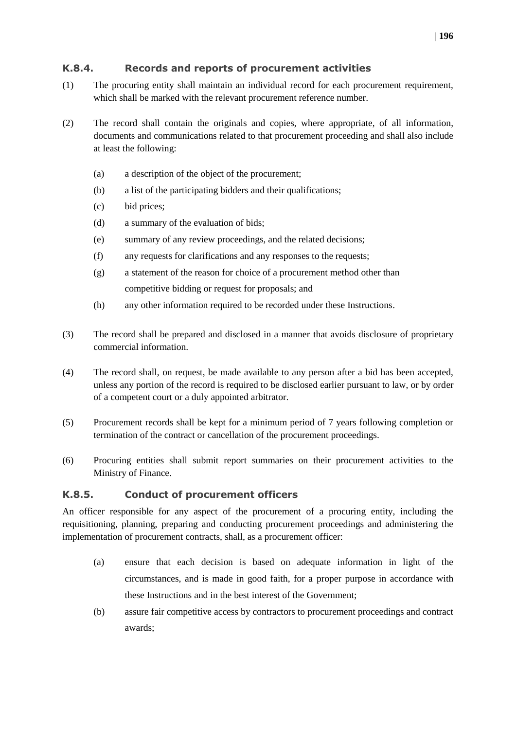#### <span id="page-31-0"></span>**K.8.4. Records and reports of procurement activities**

- (1) The procuring entity shall maintain an individual record for each procurement requirement, which shall be marked with the relevant procurement reference number.
- (2) The record shall contain the originals and copies, where appropriate, of all information, documents and communications related to that procurement proceeding and shall also include at least the following:
	- (a) a description of the object of the procurement;
	- (b) a list of the participating bidders and their qualifications;
	- (c) bid prices;
	- (d) a summary of the evaluation of bids;
	- (e) summary of any review proceedings, and the related decisions;
	- (f) any requests for clarifications and any responses to the requests;
	- (g) a statement of the reason for choice of a procurement method other than competitive bidding or request for proposals; and
	- (h) any other information required to be recorded under these Instructions.
- (3) The record shall be prepared and disclosed in a manner that avoids disclosure of proprietary commercial information.
- (4) The record shall, on request, be made available to any person after a bid has been accepted, unless any portion of the record is required to be disclosed earlier pursuant to law, or by order of a competent court or a duly appointed arbitrator.
- (5) Procurement records shall be kept for a minimum period of 7 years following completion or termination of the contract or cancellation of the procurement proceedings.
- (6) Procuring entities shall submit report summaries on their procurement activities to the Ministry of Finance.

#### <span id="page-31-1"></span>**K.8.5. Conduct of procurement officers**

An officer responsible for any aspect of the procurement of a procuring entity, including the requisitioning, planning, preparing and conducting procurement proceedings and administering the implementation of procurement contracts, shall, as a procurement officer:

- (a) ensure that each decision is based on adequate information in light of the circumstances, and is made in good faith, for a proper purpose in accordance with these Instructions and in the best interest of the Government;
- (b) assure fair competitive access by contractors to procurement proceedings and contract awards;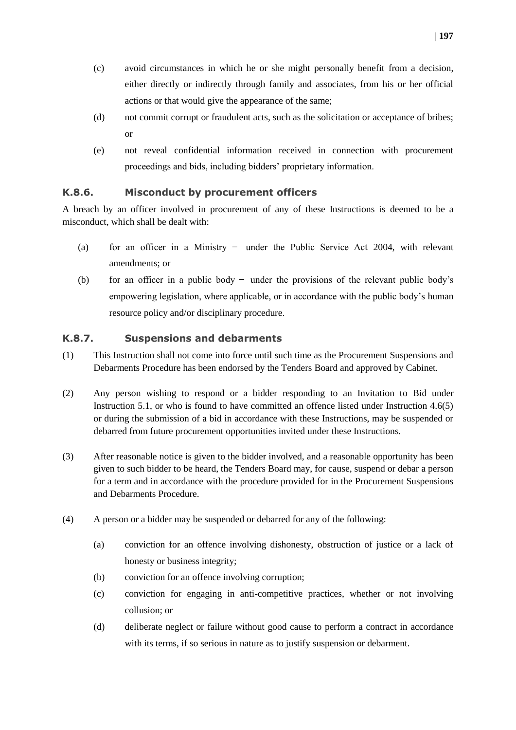- (c) avoid circumstances in which he or she might personally benefit from a decision, either directly or indirectly through family and associates, from his or her official actions or that would give the appearance of the same;
- (d) not commit corrupt or fraudulent acts, such as the solicitation or acceptance of bribes; or
- (e) not reveal confidential information received in connection with procurement proceedings and bids, including bidders' proprietary information.

#### <span id="page-32-0"></span>**K.8.6. Misconduct by procurement officers**

A breach by an officer involved in procurement of any of these Instructions is deemed to be a misconduct, which shall be dealt with:

- (a) for an officer in a Ministry  $-$  under the Public Service Act 2004, with relevant amendments; or
- (b) for an officer in a public body  $-$  under the provisions of the relevant public body's empowering legislation, where applicable, or in accordance with the public body's human resource policy and/or disciplinary procedure.

#### <span id="page-32-1"></span>**K.8.7. Suspensions and debarments**

- (1) This Instruction shall not come into force until such time as the Procurement Suspensions and Debarments Procedure has been endorsed by the Tenders Board and approved by Cabinet.
- (2) Any person wishing to respond or a bidder responding to an Invitation to Bid under Instruction 5.1, or who is found to have committed an offence listed under Instruction 4.6(5) or during the submission of a bid in accordance with these Instructions, may be suspended or debarred from future procurement opportunities invited under these Instructions.
- (3) After reasonable notice is given to the bidder involved, and a reasonable opportunity has been given to such bidder to be heard, the Tenders Board may, for cause, suspend or debar a person for a term and in accordance with the procedure provided for in the Procurement Suspensions and Debarments Procedure.
- (4) A person or a bidder may be suspended or debarred for any of the following:
	- (a) conviction for an offence involving dishonesty, obstruction of justice or a lack of honesty or business integrity;
	- (b) conviction for an offence involving corruption;
	- (c) conviction for engaging in anti-competitive practices, whether or not involving collusion; or
	- (d) deliberate neglect or failure without good cause to perform a contract in accordance with its terms, if so serious in nature as to justify suspension or debarment.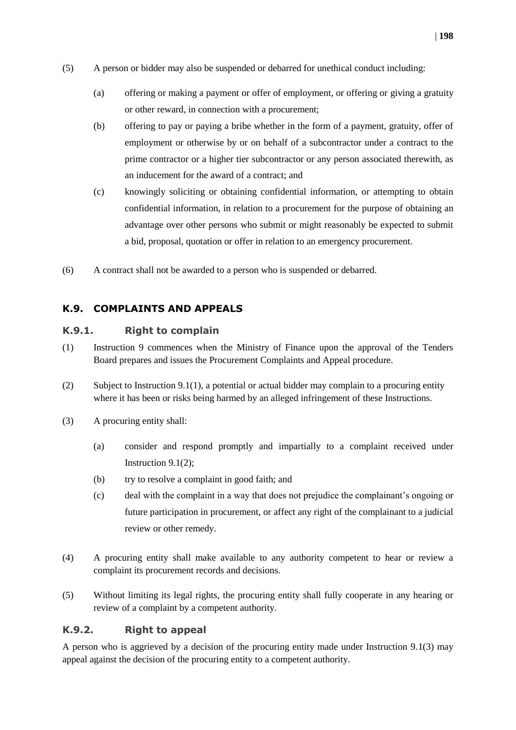- (5) A person or bidder may also be suspended or debarred for unethical conduct including:
	- (a) offering or making a payment or offer of employment, or offering or giving a gratuity or other reward, in connection with a procurement;
	- (b) offering to pay or paying a bribe whether in the form of a payment, gratuity, offer of employment or otherwise by or on behalf of a subcontractor under a contract to the prime contractor or a higher tier subcontractor or any person associated therewith, as an inducement for the award of a contract; and
	- (c) knowingly soliciting or obtaining confidential information, or attempting to obtain confidential information, in relation to a procurement for the purpose of obtaining an advantage over other persons who submit or might reasonably be expected to submit a bid, proposal, quotation or offer in relation to an emergency procurement.
- (6) A contract shall not be awarded to a person who is suspended or debarred.

#### <span id="page-33-0"></span>**K.9. COMPLAINTS AND APPEALS**

#### <span id="page-33-1"></span>**K.9.1. Right to complain**

- (1) Instruction 9 commences when the Ministry of Finance upon the approval of the Tenders Board prepares and issues the Procurement Complaints and Appeal procedure.
- (2) Subject to Instruction 9.1(1), a potential or actual bidder may complain to a procuring entity where it has been or risks being harmed by an alleged infringement of these Instructions*.*
- (3) A procuring entity shall:
	- (a) consider and respond promptly and impartially to a complaint received under Instruction 9.1(2);
	- (b) try to resolve a complaint in good faith; and
	- (c) deal with the complaint in a way that does not prejudice the complainant's ongoing or future participation in procurement, or affect any right of the complainant to a judicial review or other remedy.
- (4) A procuring entity shall make available to any authority competent to hear or review a complaint its procurement records and decisions.
- (5) Without limiting its legal rights, the procuring entity shall fully cooperate in any hearing or review of a complaint by a competent authority.

#### <span id="page-33-2"></span>**K.9.2. Right to appeal**

A person who is aggrieved by a decision of the procuring entity made under Instruction 9.1(3) may appeal against the decision of the procuring entity to a competent authority.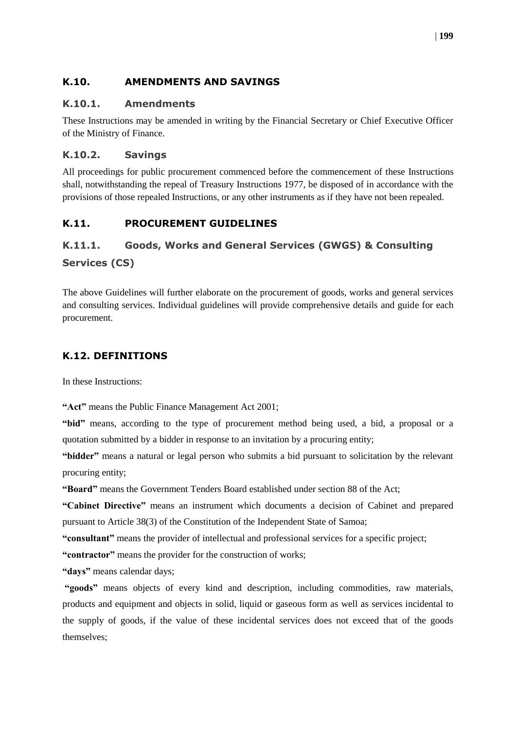#### <span id="page-34-0"></span>**K.10. AMENDMENTS AND SAVINGS**

#### <span id="page-34-1"></span>**K.10.1. Amendments**

These Instructions may be amended in writing by the Financial Secretary or Chief Executive Officer of the Ministry of Finance.

#### <span id="page-34-2"></span>**K.10.2. Savings**

All proceedings for public procurement commenced before the commencement of these Instructions shall, notwithstanding the repeal of Treasury Instructions 1977, be disposed of in accordance with the provisions of those repealed Instructions, or any other instruments as if they have not been repealed.

#### <span id="page-34-3"></span>**K.11. PROCUREMENT GUIDELINES**

### <span id="page-34-4"></span>**K.11.1. Goods, Works and General Services (GWGS) & Consulting Services (CS)**

The above Guidelines will further elaborate on the procurement of goods, works and general services and consulting services. Individual guidelines will provide comprehensive details and guide for each procurement.

#### <span id="page-34-5"></span>**K.12. DEFINITIONS**

In these Instructions:

**"Act"** means the Public Finance Management Act 2001;

**"bid"** means, according to the type of procurement method being used, a bid, a proposal or a quotation submitted by a bidder in response to an invitation by a procuring entity;

**"bidder"** means a natural or legal person who submits a bid pursuant to solicitation by the relevant procuring entity;

**"Board"** means the Government Tenders Board established under section 88 of the Act;

**"Cabinet Directive"** means an instrument which documents a decision of Cabinet and prepared pursuant to Article 38(3) of the Constitution of the Independent State of Samoa;

**"consultant"** means the provider of intellectual and professional services for a specific project;

**"contractor"** means the provider for the construction of works;

**"days"** means calendar days;

**"goods"** means objects of every kind and description, including commodities, raw materials, products and equipment and objects in solid, liquid or gaseous form as well as services incidental to the supply of goods, if the value of these incidental services does not exceed that of the goods themselves;